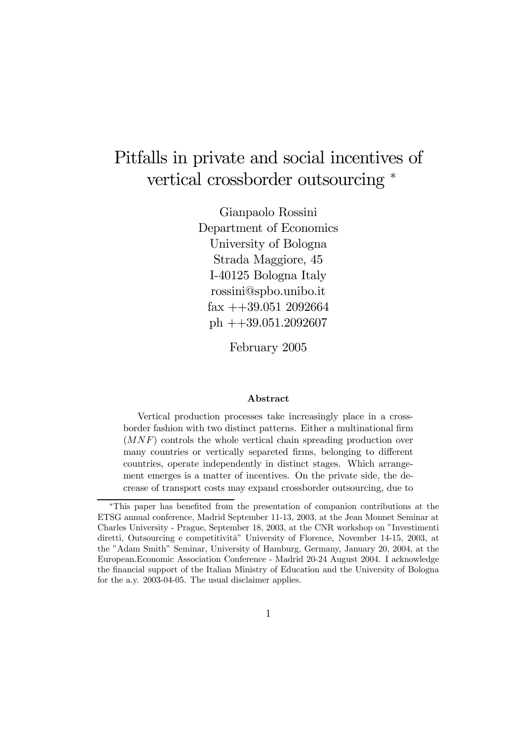# Pitfalls in private and social incentives of vertical crossborder outsourcing  $*$

Gianpaolo Rossini Department of Economics University of Bologna Strada Maggiore, 45 I-40125 Bologna Italy rossini@spbo.unibo.it  $\text{fax} + 39.051$  2092664 ph ++39.051.2092607

February 2005

#### Abstract

Vertical production processes take increasingly place in a crossborder fashion with two distinct patterns. Either a multinational firm (MNF) controls the whole vertical chain spreading production over many countries or vertically separeted firms, belonging to different countries, operate independently in distinct stages. Which arrangement emerges is a matter of incentives. On the private side, the decrease of transport costs may expand crossborder outsourcing, due to

<sup>\*</sup>This paper has benefited from the presentation of companion contributions at the ETSG annual conference, Madrid September 11-13, 2003, at the Jean Monnet Seminar at Charles University - Prague, September 18, 2003, at the CNR workshop on "Investimenti diretti, Outsourcing e competitività" University of Florence, November 14-15, 2003, at the "Adam Smith" Seminar, University of Hamburg, Germany, January 20, 2004, at the European.Economic Association Conference - Madrid 20-24 August 2004. I acknowledge the financial support of the Italian Ministry of Education and the University of Bologna for the a.y. 2003-04-05. The usual disclaimer applies.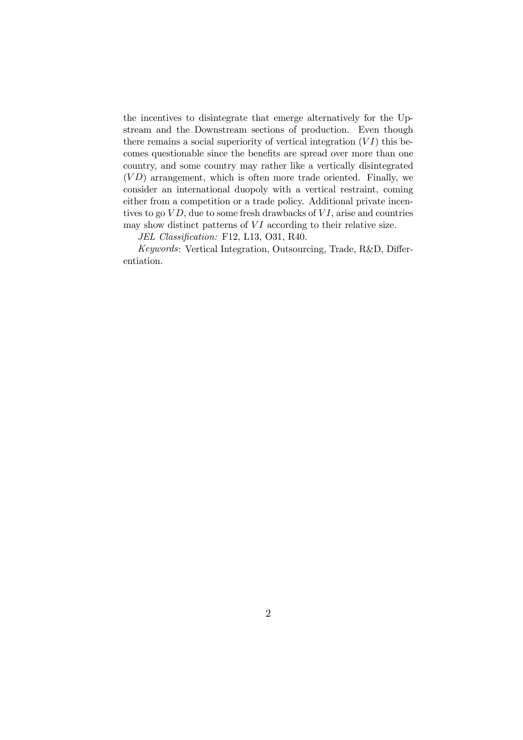the incentives to disintegrate that emerge alternatively for the Upstream and the Downstream sections of production. Even though there remains a social superiority of vertical integration  $(VI)$  this becomes questionable since the benefits are spread over more than one country, and some country may rather like a vertically disintegrated  $(VD)$  arrangement, which is often more trade oriented. Finally, we consider an international duopoly with a vertical restraint, coming either from a competition or a trade policy. Additional private incentives to go  $VD$ , due to some fresh drawbacks of  $VI$ , arise and countries may show distinct patterns of  $VI$  according to their relative size.

JEL Classification: F12, L13, O31, R40.

Keywords: Vertical Integration, Outsourcing, Trade, R&D, Differentiation.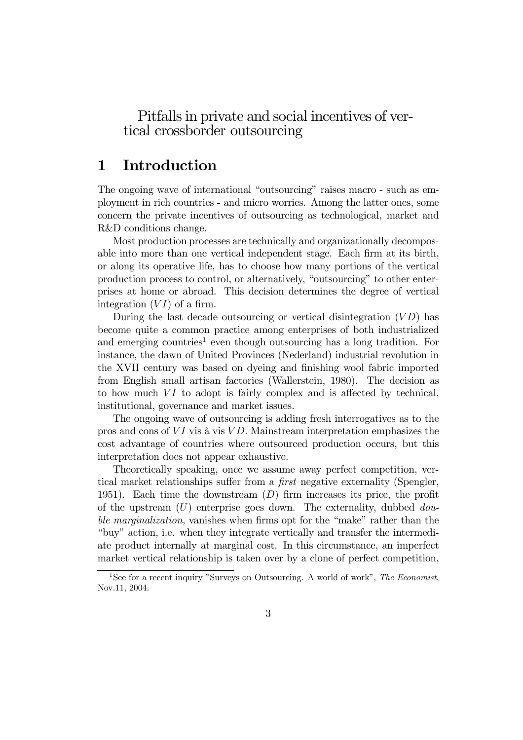### Pitfalls in private and social incentives of vertical crossborder outsourcing

# 1 Introduction

The ongoing wave of international "outsourcing" raises macro - such as employment in rich countries - and micro worries. Among the latter ones, some concern the private incentives of outsourcing as technological, market and R&D conditions change.

Most production processes are technically and organizationally decomposable into more than one vertical independent stage. Each firm at its birth, or along its operative life, has to choose how many portions of the vertical production process to control, or alternatively, "outsourcing" to other enterprises at home or abroad. This decision determines the degree of vertical integration  $(VI)$  of a firm.

During the last decade outsourcing or vertical disintegration  $(VD)$  has become quite a common practice among enterprises of both industrialized and emerging countries<sup>1</sup> even though outsourcing has a long tradition. For instance, the dawn of United Provinces (Nederland) industrial revolution in the XVII century was based on dyeing and finishing wool fabric imported from English small artisan factories (Wallerstein, 1980). The decision as to how much  $VI$  to adopt is fairly complex and is affected by technical, institutional, governance and market issues.

The ongoing wave of outsourcing is adding fresh interrogatives as to the pros and cons of  $VI$  vis à vis  $VD$ . Mainstream interpretation emphasizes the cost advantage of countries where outsourced production occurs, but this interpretation does not appear exhaustive.

Theoretically speaking, once we assume away perfect competition, vertical market relationships suffer from a *first* negative externality (Spengler, 1951). Each time the downstream  $(D)$  firm increases its price, the profit of the upstream  $(U)$  enterprise goes down. The externality, dubbed *dou*ble marginalization, vanishes when firms opt for the "make" rather than the "buy" action, i.e. when they integrate vertically and transfer the intermediate product internally at marginal cost. In this circumstance, an imperfect market vertical relationship is taken over by a clone of perfect competition,

<sup>&</sup>lt;sup>1</sup>See for a recent inquiry "Surveys on Outsourcing. A world of work", The Economist, Nov.11, 2004.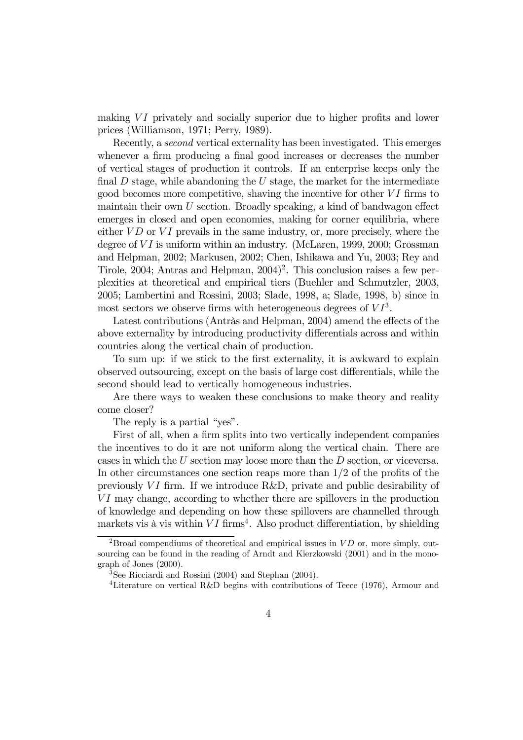making  $VI$  privately and socially superior due to higher profits and lower prices (Williamson, 1971; Perry, 1989).

Recently, a second vertical externality has been investigated. This emerges whenever a firm producing a final good increases or decreases the number of vertical stages of production it controls. If an enterprise keeps only the final  $D$  stage, while abandoning the  $U$  stage, the market for the intermediate good becomes more competitive, shaving the incentive for other  $VI$  firms to maintain their own  $U$  section. Broadly speaking, a kind of bandwagon effect emerges in closed and open economies, making for corner equilibria, where either  $VD$  or  $VI$  prevails in the same industry, or, more precisely, where the degree of  $VI$  is uniform within an industry. (McLaren, 1999, 2000; Grossman and Helpman, 2002; Markusen, 2002; Chen, Ishikawa and Yu, 2003; Rey and Tirole, 2004; Antras and Helpman,  $2004$ <sup>2</sup>. This conclusion raises a few perplexities at theoretical and empirical tiers (Buehler and Schmutzler, 2003, 2005; Lambertini and Rossini, 2003; Slade, 1998, a; Slade, 1998, b) since in most sectors we observe firms with heterogeneous degrees of  $VI^3$ .

Latest contributions (Antràs and Helpman, 2004) amend the effects of the above externality by introducing productivity differentials across and within countries along the vertical chain of production.

To sum up: if we stick to the first externality, it is awkward to explain observed outsourcing, except on the basis of large cost differentials, while the second should lead to vertically homogeneous industries.

Are there ways to weaken these conclusions to make theory and reality come closer?

The reply is a partial "yes".

First of all, when a firm splits into two vertically independent companies the incentives to do it are not uniform along the vertical chain. There are cases in which the U section may loose more than the D section, or viceversa. In other circumstances one section reaps more than  $1/2$  of the profits of the previously  $VI$  firm. If we introduce R&D, private and public desirability of  $VI$  may change, according to whether there are spillovers in the production of knowledge and depending on how these spillovers are channelled through markets vis à vis within  $VI$  firms<sup>4</sup>. Also product differentiation, by shielding

<sup>&</sup>lt;sup>2</sup>Broad compendiums of theoretical and empirical issues in  $VD$  or, more simply, outsourcing can be found in the reading of Arndt and Kierzkowski (2001) and in the monograph of Jones (2000).

 $3$ See Ricciardi and Rossini (2004) and Stephan (2004).

<sup>&</sup>lt;sup>4</sup>Literature on vertical R&D begins with contributions of Teece (1976), Armour and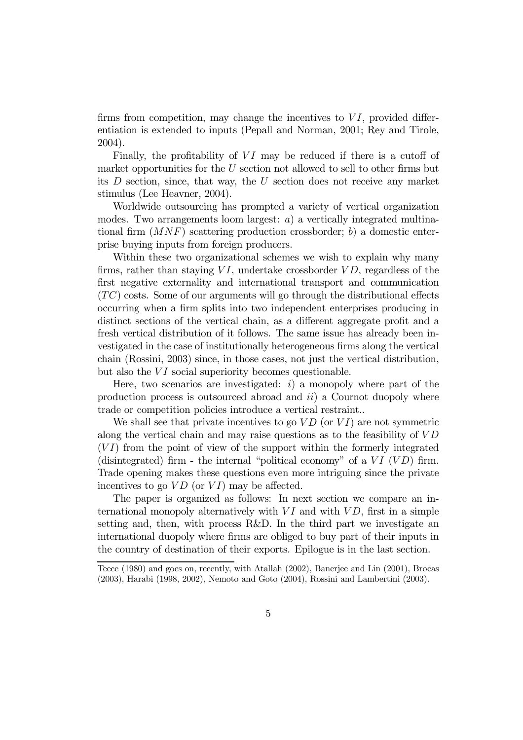firms from competition, may change the incentives to  $VI$ , provided differentiation is extended to inputs (Pepall and Norman, 2001; Rey and Tirole, 2004).

Finally, the profitability of  $VI$  may be reduced if there is a cutoff of market opportunities for the  $U$  section not allowed to sell to other firms but its D section, since, that way, the U section does not receive any market stimulus (Lee Heavner, 2004).

Worldwide outsourcing has prompted a variety of vertical organization modes. Two arrangements loom largest:  $a$ ) a vertically integrated multinational firm  $(MNF)$  scattering production crossborder; b) a domestic enterprise buying inputs from foreign producers.

Within these two organizational schemes we wish to explain why many firms, rather than staying  $VI$ , undertake crossborder  $VD$ , regardless of the first negative externality and international transport and communication  $(TC)$  costs. Some of our arguments will go through the distributional effects occurring when a firm splits into two independent enterprises producing in distinct sections of the vertical chain, as a different aggregate profit and a fresh vertical distribution of it follows. The same issue has already been investigated in the case of institutionally heterogeneous firms along the vertical chain (Rossini, 2003) since, in those cases, not just the vertical distribution, but also the  $VI$  social superiority becomes questionable.

Here, two scenarios are investigated:  $i)$  a monopoly where part of the production process is outsourced abroad and  $ii$ ) a Cournot duopoly where trade or competition policies introduce a vertical restraint..

We shall see that private incentives to go  $VD$  (or  $VI$ ) are not symmetric along the vertical chain and may raise questions as to the feasibility of  $VD$  $(VI)$  from the point of view of the support within the formerly integrated (disintegrated) firm - the internal "political economy" of a  $VI$   $(VD)$  firm. Trade opening makes these questions even more intriguing since the private incentives to go  $VD$  (or  $VI$ ) may be affected.

The paper is organized as follows: In next section we compare an international monopoly alternatively with  $VI$  and with  $VD$ , first in a simple setting and, then, with process R&D. In the third part we investigate an international duopoly where firms are obliged to buy part of their inputs in the country of destination of their exports. Epilogue is in the last section.

Teece (1980) and goes on, recently, with Atallah (2002), Banerjee and Lin (2001), Brocas (2003), Harabi (1998, 2002), Nemoto and Goto (2004), Rossini and Lambertini (2003).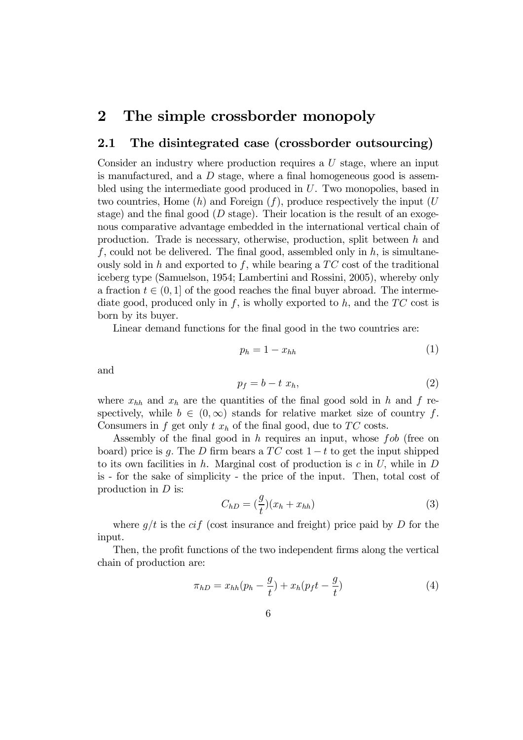# 2 The simple crossborder monopoly

### 2.1 The disintegrated case (crossborder outsourcing)

Consider an industry where production requires a U stage, where an input is manufactured, and a  $D$  stage, where a final homogeneous good is assembled using the intermediate good produced in U. Two monopolies, based in two countries, Home  $(h)$  and Foreign  $(f)$ , produce respectively the input  $(U)$ stage) and the final good ( $D$  stage). Their location is the result of an exogenous comparative advantage embedded in the international vertical chain of production. Trade is necessary, otherwise, production, split between h and f, could not be delivered. The final good, assembled only in  $h$ , is simultaneously sold in h and exported to f, while bearing a  $TC$  cost of the traditional iceberg type (Samuelson, 1954; Lambertini and Rossini, 2005), whereby only a fraction  $t \in (0, 1]$  of the good reaches the final buyer abroad. The intermediate good, produced only in f, is wholly exported to h, and the  $TC$  cost is born by its buyer.

Linear demand functions for the final good in the two countries are:

$$
p_h = 1 - x_{hh} \tag{1}
$$

and

$$
p_f = b - t \; x_h,\tag{2}
$$

where  $x_{hh}$  and  $x_h$  are the quantities of the final good sold in h and f respectively, while  $b \in (0,\infty)$  stands for relative market size of country f. Consumers in f get only  $t x_h$  of the final good, due to TC costs.

Assembly of the final good in h requires an input, whose  $fob$  (free on board) price is g. The D firm bears a  $TC$  cost  $1-t$  to get the input shipped to its own facilities in h. Marginal cost of production is  $c$  in U, while in D is - for the sake of simplicity - the price of the input. Then, total cost of production in  $D$  is:

$$
C_{hD} = \left(\frac{g}{t}\right)(x_h + x_{hh})\tag{3}
$$

where  $g/t$  is the cif (cost insurance and freight) price paid by D for the input.

Then, the profit functions of the two independent firms along the vertical chain of production are:

$$
\pi_{hD} = x_{hh}(p_h - \frac{g}{t}) + x_h(p_f t - \frac{g}{t})
$$
\n(4)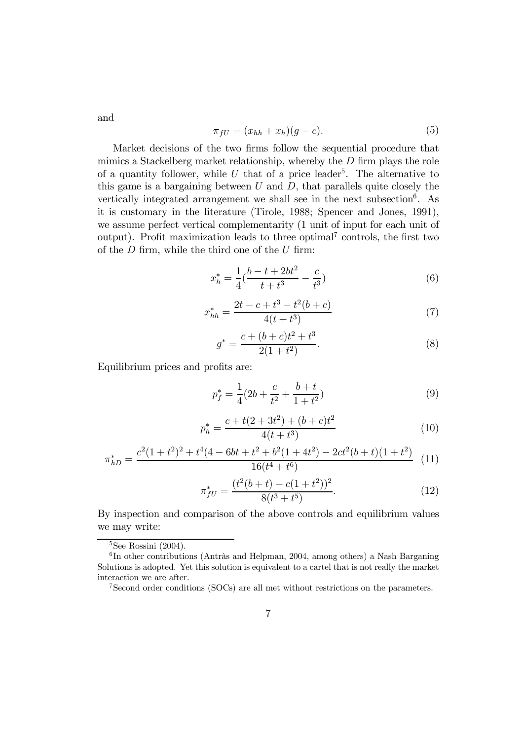and

$$
\pi_{fU} = (x_{hh} + x_h)(g - c).
$$
 (5)

Market decisions of the two firms follow the sequential procedure that mimics a Stackelberg market relationship, whereby the  $D$  firm plays the role of a quantity follower, while  $U$  that of a price leader<sup>5</sup>. The alternative to this game is a bargaining between  $U$  and  $D$ , that parallels quite closely the vertically integrated arrangement we shall see in the next subsection<sup>6</sup>. As it is customary in the literature (Tirole, 1988; Spencer and Jones, 1991), we assume perfect vertical complementarity (1 unit of input for each unit of output). Profit maximization leads to three optimal<sup>7</sup> controls, the first two of the  $D$  firm, while the third one of the  $U$  firm:

$$
x_h^* = \frac{1}{4}(\frac{b-t+2bt^2}{t+t^3} - \frac{c}{t^3})\tag{6}
$$

$$
x_{hh}^* = \frac{2t - c + t^3 - t^2(b + c)}{4(t + t^3)}
$$
\n<sup>(7)</sup>

$$
g^* = \frac{c + (b + c)t^2 + t^3}{2(1 + t^2)}.
$$
\n(8)

Equilibrium prices and profits are:

$$
p_f^* = \frac{1}{4}(2b + \frac{c}{t^2} + \frac{b+t}{1+t^2})\tag{9}
$$

$$
p_h^* = \frac{c + t(2 + 3t^2) + (b + c)t^2}{4(t + t^3)}
$$
(10)

$$
\pi_{hD}^* = \frac{c^2(1+t^2)^2 + t^4(4-6bt+t^2+b^2(1+4t^2)-2ct^2(b+t)(1+t^2)}{16(t^4+t^6)} \tag{11}
$$

$$
\pi_{fU}^* = \frac{(t^2(b+t) - c(1+t^2))^2}{8(t^3+t^5)}.
$$
\n(12)

By inspection and comparison of the above controls and equilibrium values we may write:

 ${}^{5}$ See Rossini (2004).

 $6$ In other contributions (Antràs and Helpman, 2004, among others) a Nash Barganing Solutions is adopted. Yet this solution is equivalent to a cartel that is not really the market interaction we are after.

<sup>7</sup>Second order conditions (SOCs) are all met without restrictions on the parameters.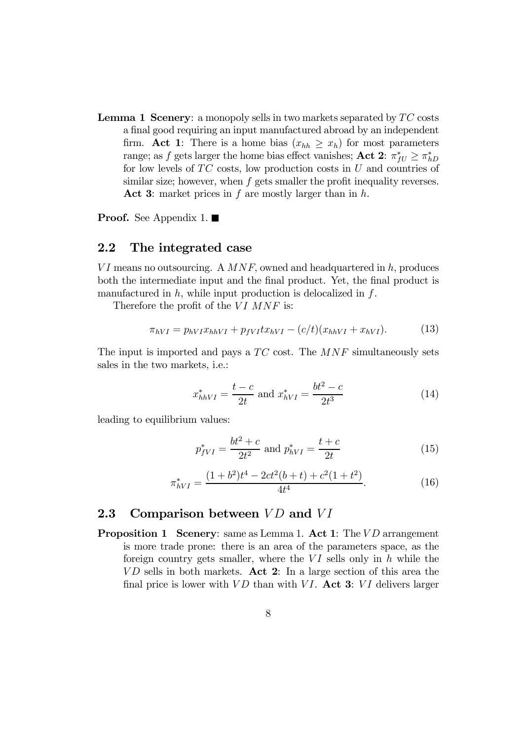**Lemma 1 Scenery:** a monopoly sells in two markets separated by  $TC$  costs a final good requiring an input manufactured abroad by an independent firm. Act 1: There is a home bias  $(x_{hh} \ge x_h)$  for most parameters range; as f gets larger the home bias effect vanishes; Act 2:  $\pi_{fU}^* \geq \pi_{hD}^*$ for low levels of  $TC$  costs, low production costs in  $U$  and countries of similar size; however, when  $f$  gets smaller the profit inequality reverses. Act 3: market prices in f are mostly larger than in  $h$ .

**Proof.** See Appendix 1.  $\blacksquare$ 

#### 2.2 The integrated case

 $VI$  means no outsourcing. A  $MNF$ , owned and headquartered in h, produces both the intermediate input and the final product. Yet, the final product is manufactured in  $h$ , while input production is delocalized in  $f$ .

Therefore the profit of the  $VI$  MNF is:

$$
\pi_{hVI} = p_{hVI} x_{hhVI} + p_{fVI} t x_{hVI} - (c/t)(x_{hhVI} + x_{hVI}). \tag{13}
$$

The input is imported and pays a  $TC$  cost. The  $MNF$  simultaneously sets sales in the two markets, i.e.:

$$
x_{hhVI}^* = \frac{t-c}{2t} \text{ and } x_{hVI}^* = \frac{bt^2 - c}{2t^3} \tag{14}
$$

leading to equilibrium values:

$$
p_{fVI}^* = \frac{bt^2 + c}{2t^2} \text{ and } p_{hVI}^* = \frac{t + c}{2t}
$$
 (15)

$$
\pi_{hVI}^* = \frac{(1+b^2)t^4 - 2ct^2(b+t) + c^2(1+t^2)}{4t^4}.
$$
\n(16)

#### 2.3 Comparison between  $VD$  and  $VI$

**Proposition 1 Scenery:** same as Lemma 1. Act 1: The VD arrangement is more trade prone: there is an area of the parameters space, as the foreign country gets smaller, where the  $VI$  sells only in h while the  $VD$  sells in both markets. Act 2: In a large section of this area the final price is lower with  $VD$  than with VI. Act 3: VI delivers larger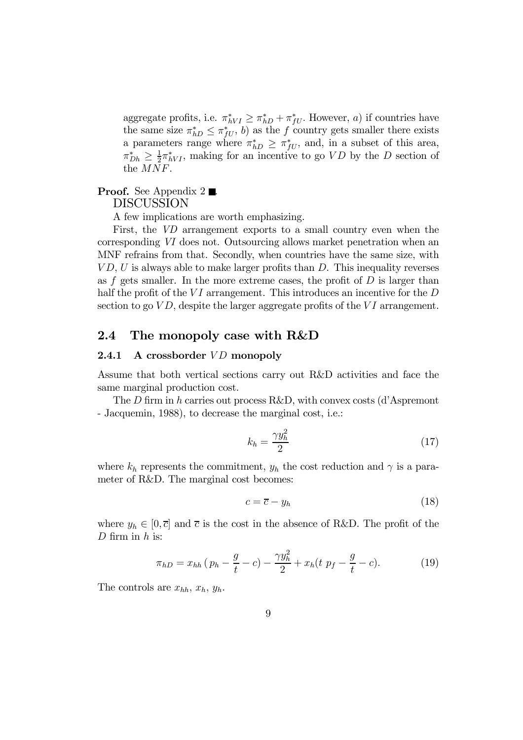aggregate profits, i.e.  $\pi_{hVI}^* \geq \pi_{hD}^* + \pi_{fU}^*$ . However, a) if countries have the same size  $\pi_{hD}^* \leq \pi_{fU}^*$ , b) as the f country gets smaller there exists a parameters range where  $\pi_{hD}^* \geq \pi_{fU}^*$ , and, in a subset of this area,  $\pi_{Dh}^* \geq \frac{1}{2} \pi_{hVI}^*$ , making for an incentive to go  $VD$  by the D section of the MNF.

#### **Proof.** See Appendix  $2 \blacksquare$ . DISCUSSION

A few implications are worth emphasizing.

First, the VD arrangement exports to a small country even when the corresponding VI does not. Outsourcing allows market penetration when an MNF refrains from that. Secondly, when countries have the same size, with  $VD, U$  is always able to make larger profits than  $D$ . This inequality reverses as f gets smaller. In the more extreme cases, the profit of  $D$  is larger than half the profit of the  $VI$  arrangement. This introduces an incentive for the  $D$ section to go  $VD$ , despite the larger aggregate profits of the  $VI$  arrangement.

#### 2.4 The monopoly case with R&D

#### 2.4.1 A crossborder  $VD$  monopoly

Assume that both vertical sections carry out R&D activities and face the same marginal production cost.

The D firm in h carries out process R&D, with convex costs (d'Aspremont - Jacquemin, 1988), to decrease the marginal cost, i.e.:

$$
k_h = \frac{\gamma y_h^2}{2} \tag{17}
$$

where  $k_h$  represents the commitment,  $y_h$  the cost reduction and  $\gamma$  is a parameter of R&D. The marginal cost becomes:

$$
c = \overline{c} - y_h \tag{18}
$$

where  $y_h \in [0, \bar{c}]$  and  $\bar{c}$  is the cost in the absence of R&D. The profit of the  $D$  firm in  $h$  is:

$$
\pi_{hD} = x_{hh} \left( p_h - \frac{g}{t} - c \right) - \frac{\gamma y_h^2}{2} + x_h \left( t \, p_f - \frac{g}{t} - c \right). \tag{19}
$$

The controls are  $x_{hh}$ ,  $x_h$ ,  $y_h$ .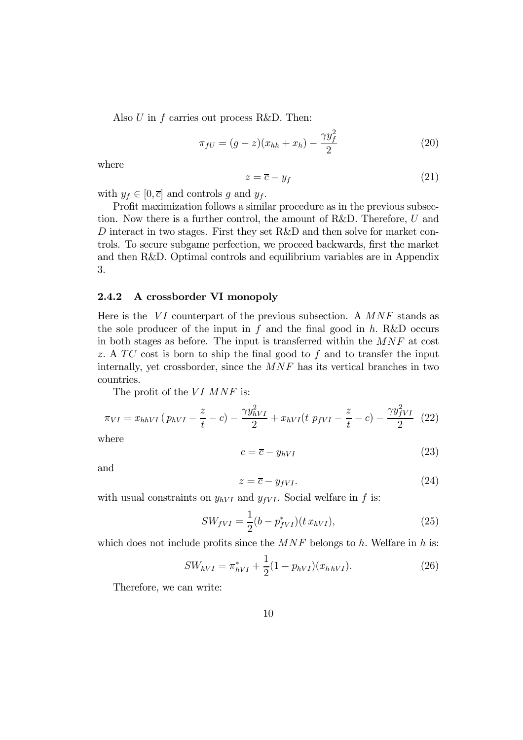Also  $U$  in  $f$  carries out process R&D. Then:

$$
\pi_{fU} = (g - z)(x_{hh} + x_h) - \frac{\gamma y_f^2}{2}
$$
\n(20)

where

$$
z = \overline{c} - y_f \tag{21}
$$

with  $y_f \in [0, \overline{c}]$  and controls g and  $y_f$ .

Profit maximization follows a similar procedure as in the previous subsection. Now there is a further control, the amount of R&D. Therefore, U and D interact in two stages. First they set R&D and then solve for market controls. To secure subgame perfection, we proceed backwards, first the market and then R&D. Optimal controls and equilibrium variables are in Appendix 3.

#### 2.4.2 A crossborder VI monopoly

Here is the  $VI$  counterpart of the previous subsection. A  $MNF$  stands as the sole producer of the input in  $f$  and the final good in h. R&D occurs in both stages as before. The input is transferred within the MNF at cost z. A  $TC$  cost is born to ship the final good to f and to transfer the input internally, yet crossborder, since the  $MNF$  has its vertical branches in two countries.

The profit of the  $VI$   $MNF$  is:

$$
\pi_{VI} = x_{hhVI} \left( p_{hVI} - \frac{z}{t} - c \right) - \frac{\gamma y_{hVI}^2}{2} + x_{hVI} \left( t \, p_{fVI} - \frac{z}{t} - c \right) - \frac{\gamma y_{fVI}^2}{2} \tag{22}
$$

where

$$
c = \overline{c} - y_{hVI} \tag{23}
$$

and

$$
z = \overline{c} - y_{fVI}.\tag{24}
$$

with usual constraints on  $y_{hVI}$  and  $y_{fVI}$ . Social welfare in f is:

$$
SW_{fVI} = \frac{1}{2}(b - p_{fVI}^*)(t x_{hVI}),
$$
\n(25)

which does not include profits since the  $MNF$  belongs to h. Welfare in h is:

$$
SW_{hVI} = \pi_{hVI}^* + \frac{1}{2}(1 - p_{hVI})(x_{h\,hVI}).
$$
\n(26)

Therefore, we can write: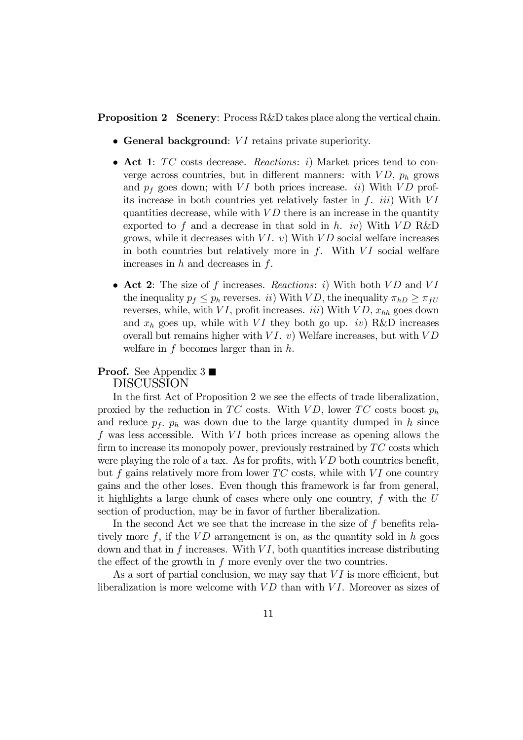**Proposition 2** Scenery: Process R&D takes place along the vertical chain.

- $\bullet$  General background:  $VI$  retains private superiority.
- Act 1:  $TC$  costs decrease. Reactions: i) Market prices tend to converge across countries, but in different manners: with  $VD$ ,  $p_h$  grows and  $p_f$  goes down; with VI both prices increase. *ii*) With VD profits increase in both countries yet relatively faster in  $f$ . *iii*) With  $VI$ quantities decrease, while with  $VD$  there is an increase in the quantity exported to f and a decrease in that sold in h. iv) With  $VD$  R&D grows, while it decreases with  $VI$ . v) With  $VD$  social welfare increases in both countries but relatively more in  $f$ . With  $VI$  social welfare increases in  $h$  and decreases in  $f$ .
- Act 2: The size of f increases. Reactions: i) With both  $VD$  and  $VI$ the inequality  $p_f \leq p_h$  reverses. *ii*) With *VD*, the inequality  $\pi_{hD} \geq \pi_{fU}$ reverses, while, with  $VI$ , profit increases. *iii*) With  $VD$ ,  $x_{hh}$  goes down and  $x_h$  goes up, while with VI they both go up. *iv*) R&D increases overall but remains higher with  $VI.$  v) Welfare increases, but with  $VD$ welfare in  $f$  becomes larger than in  $h$ .

#### **Proof.** See Appendix  $3 \blacksquare$ DISCUSSION

In the first Act of Proposition 2 we see the effects of trade liberalization, proxied by the reduction in TC costs. With  $VD$ , lower TC costs boost  $p_h$ and reduce  $p_f$ .  $p_h$  was down due to the large quantity dumped in h since  $f$  was less accessible. With  $VI$  both prices increase as opening allows the firm to increase its monopoly power, previously restrained by  $TC$  costs which were playing the role of a tax. As for profits, with  $VD$  both countries benefit, but  $f$  gains relatively more from lower  $TC$  costs, while with  $VI$  one country gains and the other loses. Even though this framework is far from general, it highlights a large chunk of cases where only one country,  $f$  with the  $U$ section of production, may be in favor of further liberalization.

In the second Act we see that the increase in the size of  $f$  benefits relatively more  $f$ , if the  $VD$  arrangement is on, as the quantity sold in h goes down and that in f increases. With  $VI$ , both quantities increase distributing the effect of the growth in  $f$  more evenly over the two countries.

As a sort of partial conclusion, we may say that  $VI$  is more efficient, but liberalization is more welcome with  $VD$  than with  $VI$ . Moreover as sizes of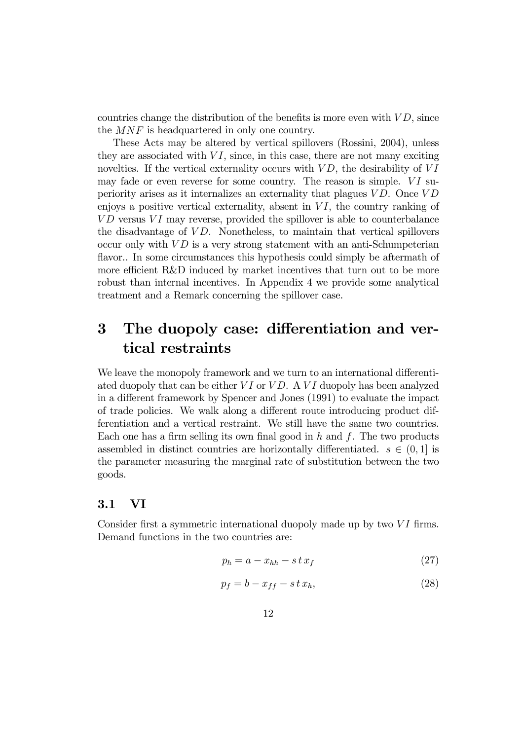countries change the distribution of the benefits is more even with  $VD$ , since the MNF is headquartered in only one country.

These Acts may be altered by vertical spillovers (Rossini, 2004), unless they are associated with  $VI$ , since, in this case, there are not many exciting novelties. If the vertical externality occurs with  $VD$ , the desirability of  $VI$ may fade or even reverse for some country. The reason is simple.  $VI$  superiority arises as it internalizes an externality that plagues  $VD$ . Once  $VD$ enjoys a positive vertical externality, absent in  $VI$ , the country ranking of  $VD$  versus  $VI$  may reverse, provided the spillover is able to counterbalance the disadvantage of  $VD$ . Nonetheless, to maintain that vertical spillovers occur only with  $VD$  is a very strong statement with an anti-Schumpeterian flavor.. In some circumstances this hypothesis could simply be aftermath of more efficient R&D induced by market incentives that turn out to be more robust than internal incentives. In Appendix 4 we provide some analytical treatment and a Remark concerning the spillover case.

# 3 The duopoly case: differentiation and vertical restraints

We leave the monopoly framework and we turn to an international differentiated duopoly that can be either  $VI$  or  $VD$ . A  $VI$  duopoly has been analyzed in a different framework by Spencer and Jones (1991) to evaluate the impact of trade policies. We walk along a different route introducing product differentiation and a vertical restraint. We still have the same two countries. Each one has a firm selling its own final good in  $h$  and  $f$ . The two products assembled in distinct countries are horizontally differentiated.  $s \in (0, 1]$  is the parameter measuring the marginal rate of substitution between the two goods.

#### 3.1 VI

Consider first a symmetric international duopoly made up by two  $VI$  firms. Demand functions in the two countries are:

$$
p_h = a - x_{hh} - s \, t \, x_f \tag{27}
$$

$$
p_f = b - x_{ff} - s \, t \, x_h,\tag{28}
$$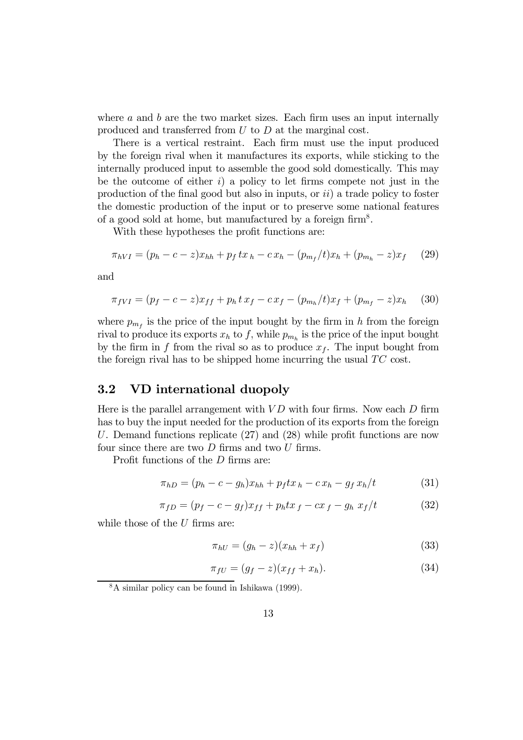where  $a$  and  $b$  are the two market sizes. Each firm uses an input internally produced and transferred from U to D at the marginal cost.

There is a vertical restraint. Each firm must use the input produced by the foreign rival when it manufactures its exports, while sticking to the internally produced input to assemble the good sold domestically. This may be the outcome of either  $i$ ) a policy to let firms compete not just in the production of the final good but also in inputs, or  $ii)$  a trade policy to foster the domestic production of the input or to preserve some national features of a good sold at home, but manufactured by a foreign  $\dim^8$ .

With these hypotheses the profit functions are:

$$
\pi_{hVI} = (p_h - c - z)x_{hh} + p_f \, tx_h - cx_h - (p_{m_f}/t)x_h + (p_{m_h} - z)x_f \tag{29}
$$

and

$$
\pi_{fVI} = (p_f - c - z)x_{ff} + p_h t x_f - c x_f - (p_{m_h}/t)x_f + (p_{m_f} - z)x_h \tag{30}
$$

where  $p_{m_f}$  is the price of the input bought by the firm in h from the foreign rival to produce its exports  $x_h$  to f, while  $p_{m_h}$  is the price of the input bought by the firm in f from the rival so as to produce  $x<sub>f</sub>$ . The input bought from the foreign rival has to be shipped home incurring the usual  $TC$  cost.

### 3.2 VD international duopoly

Here is the parallel arrangement with  $VD$  with four firms. Now each  $D$  firm has to buy the input needed for the production of its exports from the foreign U. Demand functions replicate  $(27)$  and  $(28)$  while profit functions are now four since there are two  $D$  firms and two  $U$  firms.

Profit functions of the  $D$  firms are:

$$
\pi_{hD} = (p_h - c - g_h)x_{hh} + p_f t x_h - c x_h - g_f x_h/t \tag{31}
$$

$$
\pi_{fD} = (p_f - c - g_f)x_{ff} + p_h t x_f - c x_f - g_h x_f/t \tag{32}
$$

while those of the  $U$  firms are:

$$
\pi_{hU} = (g_h - z)(x_{hh} + x_f) \tag{33}
$$

$$
\pi_{fU} = (g_f - z)(x_{ff} + x_h). \tag{34}
$$

<sup>8</sup>A similar policy can be found in Ishikawa (1999).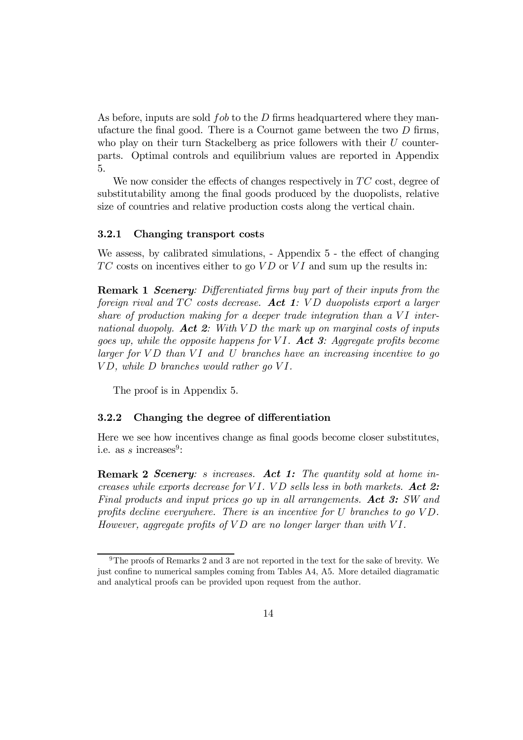As before, inputs are sold  $fob$  to the D firms headquartered where they manufacture the final good. There is a Cournot game between the two  $D$  firms, who play on their turn Stackelberg as price followers with their  $U$  counterparts. Optimal controls and equilibrium values are reported in Appendix 5.

We now consider the effects of changes respectively in  $TC$  cost, degree of substitutability among the final goods produced by the duopolists, relative size of countries and relative production costs along the vertical chain.

#### 3.2.1 Changing transport costs

We assess, by calibrated simulations,  $-$  Appendix  $5$   $-$  the effect of changing  $TC$  costs on incentives either to go  $VD$  or  $VI$  and sum up the results in:

**Remark 1 Scenery:** Differentiated firms buy part of their inputs from the foreign rival and  $TC$  costs decrease. Act 1:  $VD$  duopolists export a larger share of production making for a deeper trade integration than a  $VI$  international duopoly. Act 2: With  $VD$  the mark up on marginal costs of inputs goes up, while the opposite happens for VI. Act 3: Aggregate profits become larger for  $VD$  than  $VI$  and  $U$  branches have an increasing incentive to go  $VD$ , while  $D$  branches would rather go  $VI$ .

The proof is in Appendix 5.

#### 3.2.2 Changing the degree of differentiation

Here we see how incentives change as final goods become closer substitutes, i.e. as s increases<sup>9</sup>:

**Remark 2 Scenery:** s increases. Act 1: The quantity sold at home increases while exports decrease for VI. VD sells less in both markets. Act 2: Final products and input prices go up in all arrangements. Act 3: SW and profits decline everywhere. There is an incentive for  $U$  branches to go  $VD$ . However, aggregate profits of  $VD$  are no longer larger than with  $VI$ .

 $9$ The proofs of Remarks 2 and 3 are not reported in the text for the sake of brevity. We just confine to numerical samples coming from Tables A4, A5. More detailed diagramatic and analytical proofs can be provided upon request from the author.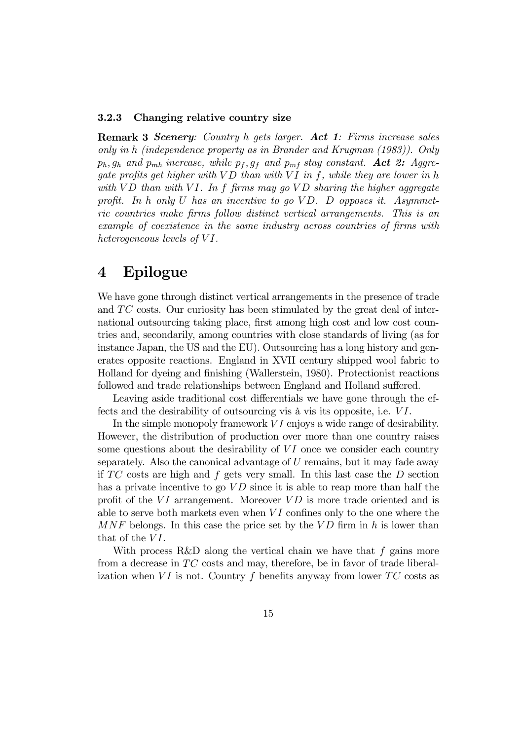#### 3.2.3 Changing relative country size

Remark 3 Scenery: Country h gets larger. Act 1: Firms increase sales only in h (independence property as in Brander and Krugman (1983)). Only  $p_h$ ,  $g_h$  and  $p_{mh}$  increase, while  $p_f$ ,  $g_f$  and  $p_{mf}$  stay constant. Act 2: Aggregate profits get higher with  $VD$  than with  $VI$  in f, while they are lower in h with  $VD$  than with  $VI$ . In f firms may go  $VD$  sharing the higher aggregate profit. In h only U has an incentive to go  $VD$ . D opposes it. Asymmetric countries make firms follow distinct vertical arrangements. This is an example of coexistence in the same industry across countries of firms with heterogeneous levels of  $VI$ .

## 4 Epilogue

We have gone through distinct vertical arrangements in the presence of trade and  $TC$  costs. Our curiosity has been stimulated by the great deal of international outsourcing taking place, first among high cost and low cost countries and, secondarily, among countries with close standards of living (as for instance Japan, the US and the EU). Outsourcing has a long history and generates opposite reactions. England in XVII century shipped wool fabric to Holland for dyeing and finishing (Wallerstein, 1980). Protectionist reactions followed and trade relationships between England and Holland suffered.

Leaving aside traditional cost differentials we have gone through the effects and the desirability of outsourcing vis à vis its opposite, i.e.  $VI$ .

In the simple monopoly framework  $VI$  enjoys a wide range of desirability. However, the distribution of production over more than one country raises some questions about the desirability of  $VI$  once we consider each country separately. Also the canonical advantage of  $U$  remains, but it may fade away if  $TC$  costs are high and  $f$  gets very small. In this last case the  $D$  section has a private incentive to go  $VD$  since it is able to reap more than half the profit of the  $VI$  arrangement. Moreover  $VD$  is more trade oriented and is able to serve both markets even when  $VI$  confines only to the one where the  $MNF$  belongs. In this case the price set by the  $VD$  firm in h is lower than that of the  $VI$ .

With process R&D along the vertical chain we have that f gains more from a decrease in  $TC$  costs and may, therefore, be in favor of trade liberalization when VI is not. Country f benefits anyway from lower  $TC$  costs as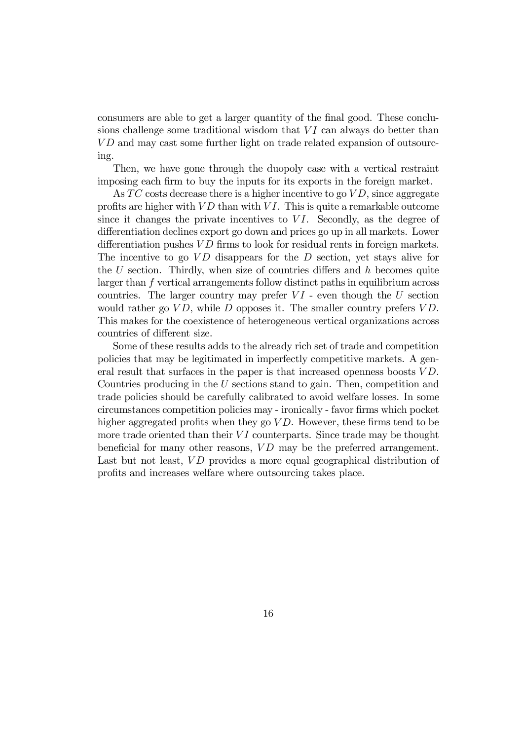consumers are able to get a larger quantity of the final good. These conclusions challenge some traditional wisdom that  $VI$  can always do better than VD and may cast some further light on trade related expansion of outsourcing.

Then, we have gone through the duopoly case with a vertical restraint imposing each firm to buy the inputs for its exports in the foreign market.

As  $TC$  costs decrease there is a higher incentive to go  $VD$ , since aggregate profits are higher with  $VD$  than with  $VI$ . This is quite a remarkable outcome since it changes the private incentives to  $VI$ . Secondly, as the degree of differentiation declines export go down and prices go up in all markets. Lower differentiation pushes  $VD$  firms to look for residual rents in foreign markets. The incentive to go  $VD$  disappears for the D section, yet stays alive for the  $U$  section. Thirdly, when size of countries differs and  $h$  becomes quite larger than f vertical arrangements follow distinct paths in equilibrium across countries. The larger country may prefer  $VI$  - even though the U section would rather go  $VD$ , while D opposes it. The smaller country prefers  $VD$ . This makes for the coexistence of heterogeneous vertical organizations across countries of different size.

Some of these results adds to the already rich set of trade and competition policies that may be legitimated in imperfectly competitive markets. A general result that surfaces in the paper is that increased openness boosts  $VD$ . Countries producing in the U sections stand to gain. Then, competition and trade policies should be carefully calibrated to avoid welfare losses. In some circumstances competition policies may - ironically - favor firms which pocket higher aggregated profits when they go  $VD$ . However, these firms tend to be more trade oriented than their  $VI$  counterparts. Since trade may be thought beneficial for many other reasons,  $VD$  may be the preferred arrangement. Last but not least,  $VD$  provides a more equal geographical distribution of profits and increases welfare where outsourcing takes place.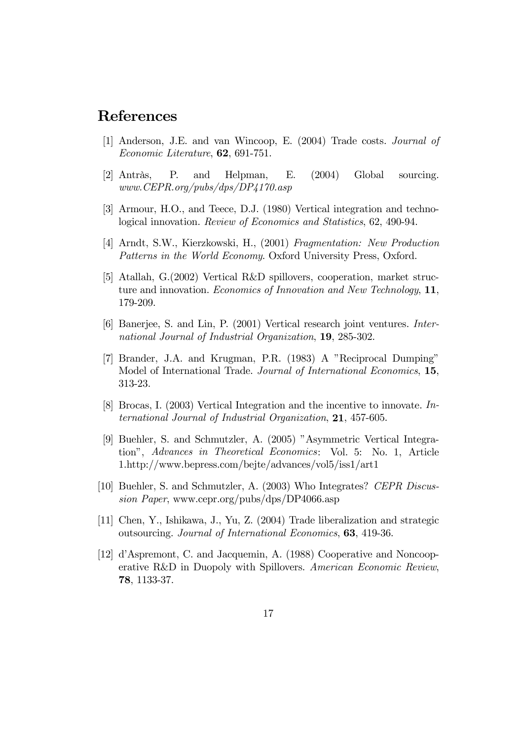## References

- [1] Anderson, J.E. and van Wincoop, E. (2004) Trade costs. Journal of Economic Literature, 62, 691-751.
- [2] Antràs, P. and Helpman, E. (2004) Global sourcing. www.CEPR.org/pubs/dps/DP4170.asp
- [3] Armour, H.O., and Teece, D.J. (1980) Vertical integration and technological innovation. Review of Economics and Statistics, 62, 490-94.
- [4] Arndt, S.W., Kierzkowski, H., (2001) Fragmentation: New Production Patterns in the World Economy. Oxford University Press, Oxford.
- [5] Atallah, G.(2002) Vertical R&D spillovers, cooperation, market structure and innovation. *Economics of Innovation and New Technology*, 11, 179-209.
- [6] Banerjee, S. and Lin, P. (2001) Vertical research joint ventures. International Journal of Industrial Organization, 19, 285-302.
- [7] Brander, J.A. and Krugman, P.R. (1983) A "Reciprocal Dumping" Model of International Trade. Journal of International Economics, 15, 313-23.
- [8] Brocas, I. (2003) Vertical Integration and the incentive to innovate. International Journal of Industrial Organization, 21, 457-605.
- [9] Buehler, S. and Schmutzler, A. (2005) "Asymmetric Vertical Integration", Advances in Theoretical Economics: Vol. 5: No. 1, Article 1.http://www.bepress.com/bejte/advances/vol5/iss1/art1
- [10] Buehler, S. and Schmutzler, A. (2003) Who Integrates? CEPR Discussion Paper, www.cepr.org/pubs/dps/DP4066.asp
- [11] Chen, Y., Ishikawa, J., Yu, Z. (2004) Trade liberalization and strategic outsourcing. Journal of International Economics, 63, 419-36.
- [12] d'Aspremont, C. and Jacquemin, A. (1988) Cooperative and Noncooperative R&D in Duopoly with Spillovers. American Economic Review, 78, 1133-37.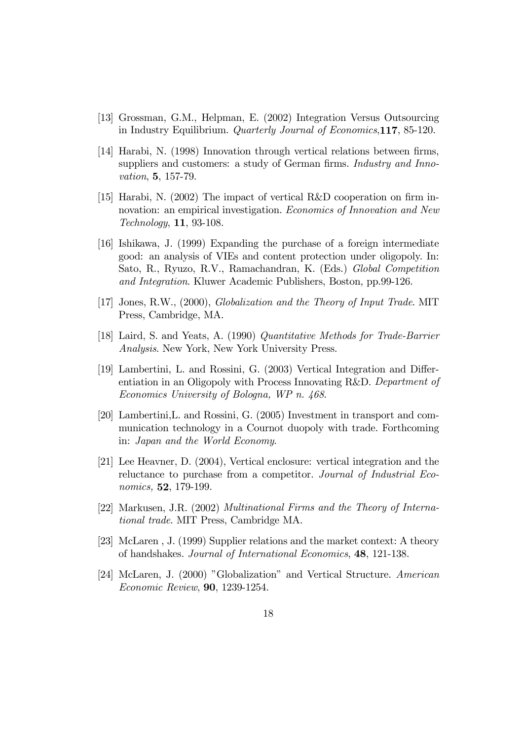- [13] Grossman, G.M., Helpman, E. (2002) Integration Versus Outsourcing in Industry Equilibrium. Quarterly Journal of Economics,117, 85-120.
- [14] Harabi, N. (1998) Innovation through vertical relations between firms, suppliers and customers: a study of German firms. Industry and Innovation, 5, 157-79.
- [15] Harabi, N. (2002) The impact of vertical R&D cooperation on firm innovation: an empirical investigation. *Economics of Innovation and New* Technology, 11, 93-108.
- [16] Ishikawa, J. (1999) Expanding the purchase of a foreign intermediate good: an analysis of VIEs and content protection under oligopoly. In: Sato, R., Ryuzo, R.V., Ramachandran, K. (Eds.) Global Competition and Integration. Kluwer Academic Publishers, Boston, pp.99-126.
- [17] Jones, R.W., (2000), Globalization and the Theory of Input Trade. MIT Press, Cambridge, MA.
- [18] Laird, S. and Yeats, A. (1990) Quantitative Methods for Trade-Barrier Analysis. New York, New York University Press.
- [19] Lambertini, L. and Rossini, G. (2003) Vertical Integration and Differentiation in an Oligopoly with Process Innovating R&D. Department of Economics University of Bologna, WP n. 468.
- [20] Lambertini,L. and Rossini, G. (2005) Investment in transport and communication technology in a Cournot duopoly with trade. Forthcoming in: Japan and the World Economy.
- [21] Lee Heavner, D. (2004), Vertical enclosure: vertical integration and the reluctance to purchase from a competitor. Journal of Industrial Economics, 52, 179-199.
- [22] Markusen, J.R. (2002) Multinational Firms and the Theory of International trade. MIT Press, Cambridge MA.
- [23] McLaren , J. (1999) Supplier relations and the market context: A theory of handshakes. Journal of International Economics, 48, 121-138.
- [24] McLaren, J. (2000) "Globalization" and Vertical Structure. American Economic Review, 90, 1239-1254.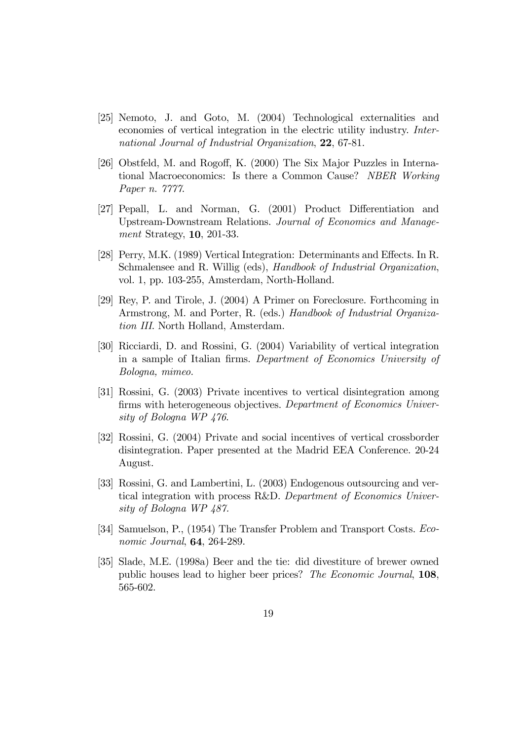- [25] Nemoto, J. and Goto, M. (2004) Technological externalities and economies of vertical integration in the electric utility industry. International Journal of Industrial Organization, 22, 67-81.
- [26] Obstfeld, M. and Rogoff, K. (2000) The Six Major Puzzles in International Macroeconomics: Is there a Common Cause? NBER Working Paper n. 7777.
- [27] Pepall, L. and Norman, G. (2001) Product Differentiation and Upstream-Downstream Relations. Journal of Economics and Management Strategy, 10, 201-33.
- [28] Perry, M.K. (1989) Vertical Integration: Determinants and Effects. In R. Schmalensee and R. Willig (eds), Handbook of Industrial Organization, vol. 1, pp. 103-255, Amsterdam, North-Holland.
- [29] Rey, P. and Tirole, J. (2004) A Primer on Foreclosure. Forthcoming in Armstrong, M. and Porter, R. (eds.) Handbook of Industrial Organization III. North Holland, Amsterdam.
- [30] Ricciardi, D. and Rossini, G. (2004) Variability of vertical integration in a sample of Italian firms. Department of Economics University of Bologna, mimeo.
- [31] Rossini, G. (2003) Private incentives to vertical disintegration among firms with heterogeneous objectives. Department of Economics University of Bologna WP 476.
- [32] Rossini, G. (2004) Private and social incentives of vertical crossborder disintegration. Paper presented at the Madrid EEA Conference. 20-24 August.
- [33] Rossini, G. and Lambertini, L. (2003) Endogenous outsourcing and vertical integration with process R&D. Department of Economics University of Bologna WP 487.
- [34] Samuelson, P., (1954) The Transfer Problem and Transport Costs. Economic Journal, 64, 264-289.
- [35] Slade, M.E. (1998a) Beer and the tie: did divestiture of brewer owned public houses lead to higher beer prices? The Economic Journal, 108, 565-602.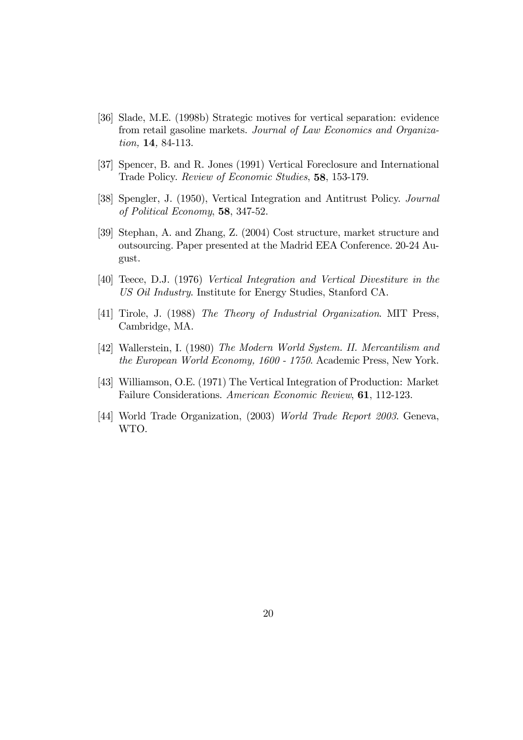- [36] Slade, M.E. (1998b) Strategic motives for vertical separation: evidence from retail gasoline markets. Journal of Law Economics and Organization, 14, 84-113.
- [37] Spencer, B. and R. Jones (1991) Vertical Foreclosure and International Trade Policy. Review of Economic Studies, 58, 153-179.
- [38] Spengler, J. (1950), Vertical Integration and Antitrust Policy. Journal of Political Economy, 58, 347-52.
- [39] Stephan, A. and Zhang, Z. (2004) Cost structure, market structure and outsourcing. Paper presented at the Madrid EEA Conference. 20-24 August.
- [40] Teece, D.J. (1976) Vertical Integration and Vertical Divestiture in the US Oil Industry. Institute for Energy Studies, Stanford CA.
- [41] Tirole, J. (1988) The Theory of Industrial Organization. MIT Press, Cambridge, MA.
- [42] Wallerstein, I. (1980) The Modern World System. II. Mercantilism and the European World Economy, 1600 - 1750. Academic Press, New York.
- [43] Williamson, O.E. (1971) The Vertical Integration of Production: Market Failure Considerations. American Economic Review, 61, 112-123.
- [44] World Trade Organization, (2003) World Trade Report 2003. Geneva, WTO.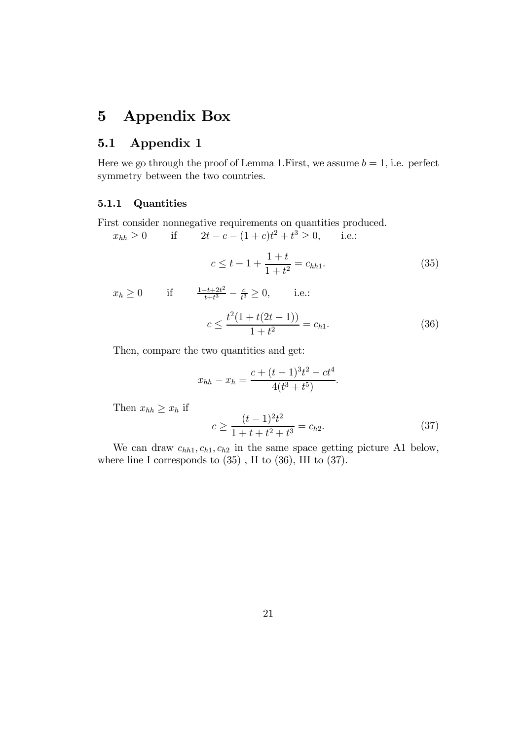# 5 Appendix Box

### 5.1 Appendix 1

Here we go through the proof of Lemma 1. First, we assume  $b = 1$ , i.e. perfect symmetry between the two countries.

#### 5.1.1 Quantities

First consider nonnegative requirements on quantities produced.

$$
x_{hh} \ge 0
$$
 if  $2t - c - (1 + c)t^2 + t^3 \ge 0$ , i.e.:  
 $c \le t - 1 + \frac{1+t}{1+t^2} = c_{hh1}$ . (35)

*i.e.*:

$$
x_h \ge 0
$$
 if  $\frac{1-t+2t^2}{t+t^3} - \frac{c}{t^3} \ge 0$ ,

$$
c \le \frac{t^2(1+t(2t-1))}{1+t^2} = c_{h1}.\tag{36}
$$

Then, compare the two quantities and get:

$$
x_{hh} - x_h = \frac{c + (t - 1)^3 t^2 - ct^4}{4(t^3 + t^5)}.
$$

Then  $x_{hh} \geq x_h$  if

$$
c \ge \frac{(t-1)^2 t^2}{1+t+t^2+t^3} = c_{h2}.\tag{37}
$$

We can draw  $c_{hh1}, c_{h1}, c_{h2}$  in the same space getting picture A1 below, where line I corresponds to (35) , II to (36), III to (37).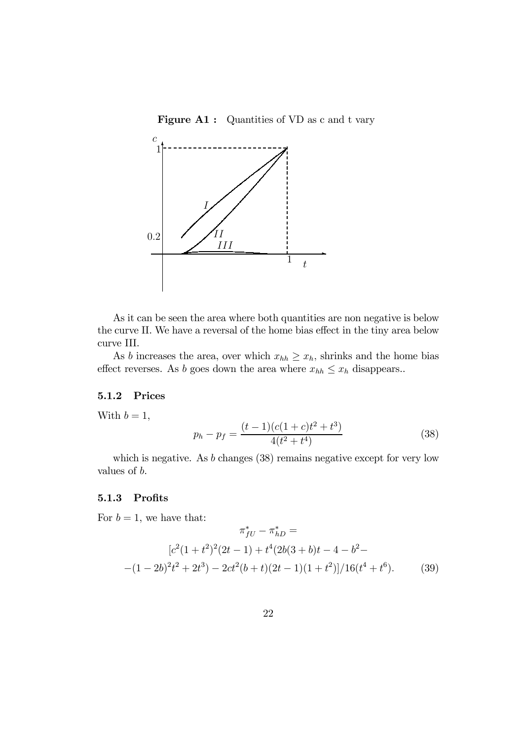Figure A1 : Quantities of VD as c and t vary



As it can be seen the area where both quantities are non negative is below the curve II. We have a reversal of the home bias effect in the tiny area below curve III.

As b increases the area, over which  $x_{hh} \geq x_h$ , shrinks and the home bias effect reverses. As b goes down the area where  $x_{hh} \leq x_h$  disappears..

#### 5.1.2 Prices

With  $b = 1$ ,

$$
p_h - p_f = \frac{(t-1)(c(1+c)t^2 + t^3)}{4(t^2 + t^4)}
$$
\n(38)

which is negative. As *b* changes (38) remains negative except for very low values of b.

#### 5.1.3 Profits

For  $b = 1$ , we have that:

$$
\pi_{fU}^* - \pi_{hD}^* =
$$
  
\n
$$
[c^2(1+t^2)^2(2t-1) + t^4(2b(3+b)t-4-b^2-(-1-2b)^2t^2+2t^3) - 2ct^2(b+t)(2t-1)(1+t^2)]/16(t^4+t^6).
$$
 (39)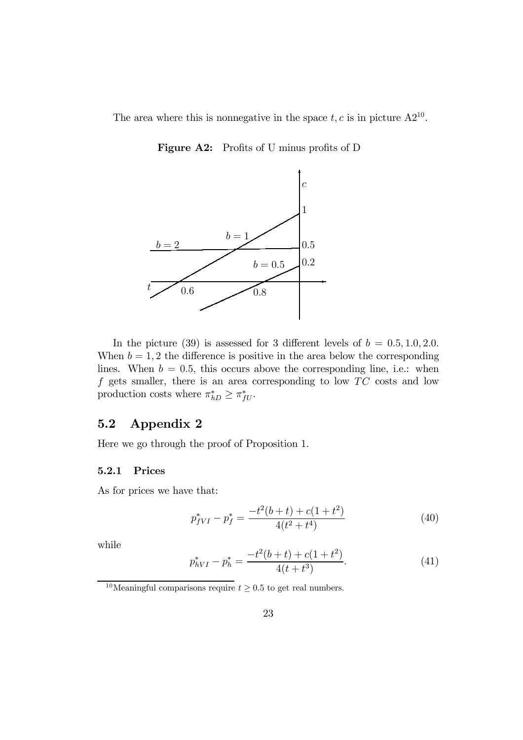The area where this is nonnegative in the space  $t, c$  is in picture  $A2^{10}$ .

Figure A2: Profits of U minus profits of D



In the picture (39) is assessed for 3 different levels of  $b = 0.5, 1.0, 2.0$ . When  $b = 1, 2$  the difference is positive in the area below the corresponding lines. When  $b = 0.5$ , this occurs above the corresponding line, i.e.: when f gets smaller, there is an area corresponding to low  $TC$  costs and low production costs where  $\pi_{hD}^* \geq \pi_{fU}^*$ .

### 5.2 Appendix 2

Here we go through the proof of Proposition 1.

#### 5.2.1 Prices

As for prices we have that:

$$
p_{fVI}^* - p_f^* = \frac{-t^2(b+t) + c(1+t^2)}{4(t^2+t^4)}
$$
\n(40)

while

$$
p_{hVI}^* - p_h^* = \frac{-t^2(b+t) + c(1+t^2)}{4(t+t^3)}.
$$
\n(41)

 $^{10}\rm{Meaningful}$  comparisons require  $t\geq0.5$  to get real numbers.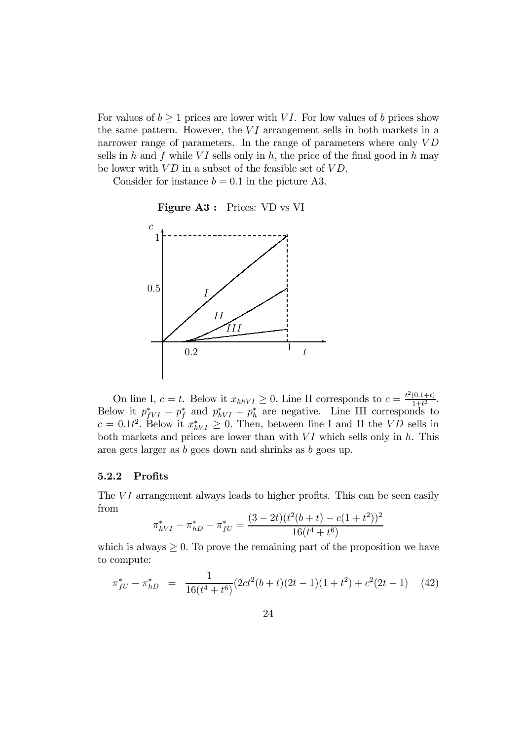For values of  $b \ge 1$  prices are lower with VI. For low values of b prices show the same pattern. However, the  $VI$  arrangement sells in both markets in a narrower range of parameters. In the range of parameters where only  $VD$ sells in h and f while VI sells only in h, the price of the final good in h may be lower with  $VD$  in a subset of the feasible set of  $VD$ .

Consider for instance  $b = 0.1$  in the picture A3.

Figure A3 : Prices: VD vs VI



On line I,  $c = t$ . Below it  $x_{hhVI} \geq 0$ . Line II corresponds to  $c = \frac{t^2(0.1+t)}{1+t^2}$ . Below it  $p_{fVI}^* - p_f^*$  and  $p_{hVI}^* - p_h^*$  are negative. Line III corresponds to  $c = 0.1t^2$ . Below it  $x^*_{hVI} \geq 0$ . Then, between line I and II the VD sells in both markets and prices are lower than with  $VI$  which sells only in  $h$ . This area gets larger as b goes down and shrinks as b goes up.

#### $5.2.2$  Profits

The  $VI$  arrangement always leads to higher profits. This can be seen easily from

$$
\pi_{hVI}^* - \pi_{hD}^* - \pi_{fU}^* = \frac{(3 - 2t)(t^2(b + t) - c(1 + t^2))^2}{16(t^4 + t^6)}
$$

which is always  $\geq 0$ . To prove the remaining part of the proposition we have to compute:

$$
\pi_{fU}^* - \pi_{hD}^* = \frac{1}{16(t^4 + t^6)} (2ct^2(b + t)(2t - 1)(1 + t^2) + c^2(2t - 1) \tag{42}
$$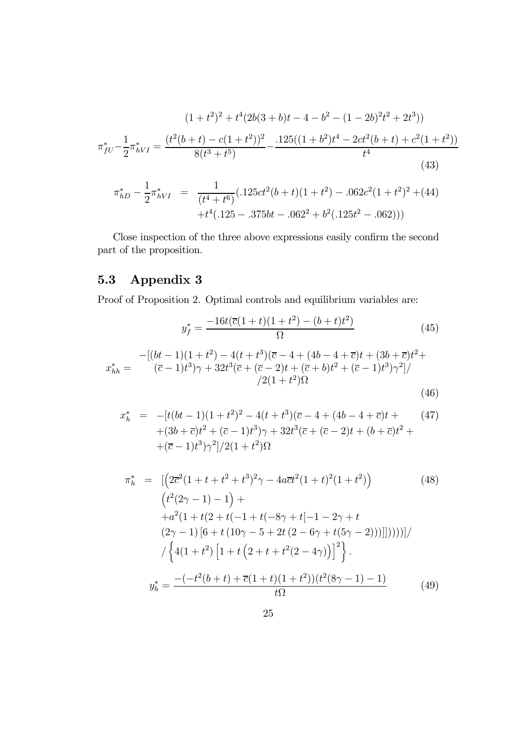$$
(1+t^2)^2 + t^4(2b(3+b)t - 4 - b^2 - (1-2b)^2t^2 + 2t^3))
$$

$$
\pi_{fU}^* - \frac{1}{2}\pi_{hVI}^* = \frac{(t^2(b+t) - c(1+t^2))^2}{8(t^3+t^5)} - \frac{.125((1+b^2)t^4 - 2ct^2(b+t) + c^2(1+t^2))}{t^4}
$$
(43)

$$
\pi_{hD}^* - \frac{1}{2} \pi_{hVI}^* = \frac{1}{(t^4 + t^6)} (0.125ct^2(b+t)(1+t^2) - 0.062c^2(1+t^2)^2 + (44) + t^4(0.125 - 0.375bt - 0.062^2 + b^2(0.125t^2 - 0.062)))
$$

Close inspection of the three above expressions easily confirm the second part of the proposition.

# 5.3 Appendix 3

Proof of Proposition 2. Optimal controls and equilibrium variables are:

$$
y_f^* = \frac{-16t(\overline{c}(1+t)(1+t^2) - (b+t)t^2)}{\Omega} \tag{45}
$$

$$
x_{hh}^{*} = \frac{-[(bt-1)(1+t^{2}) - 4(t+t^{3})(\overline{c}-4+(4b-4+\overline{c})t+(3b+\overline{c})t^{2} + (\overline{c}-1)t^{3})\gamma + 32t^{3}(\overline{c} + (\overline{c}-2)t+(\overline{c}+b)t^{2} + (\overline{c}-1)t^{3})\gamma^{2}]/\gamma^{2}(1+t^{2})\Omega}{\gamma^{2}(1+t^{2})\Omega}
$$
\n(46)

$$
x_h^* = -[t(bt-1)(1+t^2)^2 - 4(t+t^3)(\overline{c} - 4 + (4b - 4 + \overline{c})t + (3b + \overline{c})t^2 + (\overline{c} - 1)t^3)\gamma + 32t^3(\overline{c} + (\overline{c} - 2)t + (b + \overline{c})t^2 + (3b + \overline{c})t^3)\gamma^2]/2(1+t^2)\Omega
$$
\n(47)

$$
\pi_h^* = \left[ \left( 2\overline{c}^2 (1 + t + t^2 + t^3)^2 \gamma - 4a \overline{c} t^2 (1 + t)^2 (1 + t^2) \right) \right]
$$
(48)  
\n
$$
\left( t^2 (2\gamma - 1) - 1 \right) +
$$
  
\n
$$
+ a^2 (1 + t(2 + t(-1 + t(-8\gamma + t[-1 - 2\gamma + t
$$
  
\n
$$
(2\gamma - 1) [6 + t (10\gamma - 5 + 2t (2 - 6\gamma + t(5\gamma - 2)))]])))) \right) / \left\{ 4(1 + t^2) \left[ 1 + t \left( 2 + t + t^2 (2 - 4\gamma) \right) \right]^2 \right\}.
$$
  
\n
$$
y_h^* = \frac{-(-t^2(b + t) + \overline{c}(1 + t)(1 + t^2))(t^2(8\gamma - 1) - 1)}{t\Omega}
$$
(49)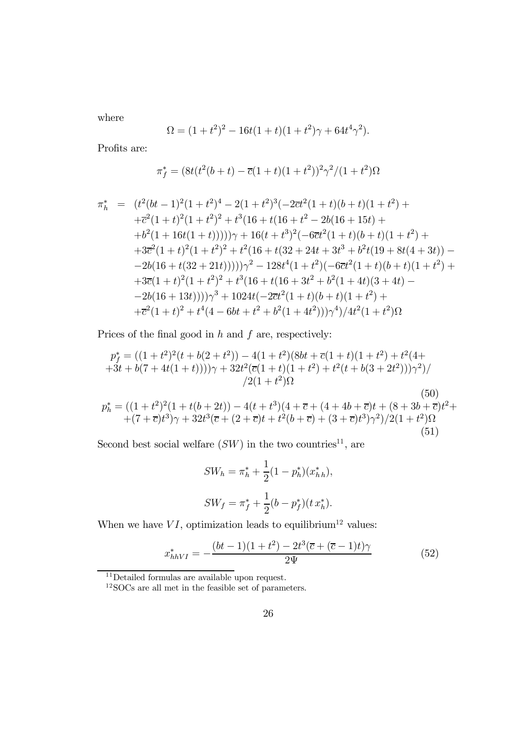where

$$
\Omega = (1 + t^2)^2 - 16t(1 + t)(1 + t^2)\gamma + 64t^4\gamma^2).
$$

Profits are:

$$
\pi_f^* = \frac{8t(t^2(b+t) - \overline{c}(1+t)(1+t^2))^2\gamma^2}{(1+t^2)\Omega}
$$

$$
\pi_h^* = (t^2(bt-1)^2(1+t^2)^4 - 2(1+t^2)^3(-2\overline{c}t^2(1+t)(b+t)(1+t^2) ++ \overline{c}^2(1+t)^2(1+t^2)^2 + t^3(16+t(16+t^2-2b(16+15t)++ b^2(1+16t(1+t)))))\gamma + 16(t+t^3)^2(-6\overline{c}t^2(1+t)(b+t)(1+t^2) ++ 3\overline{c}^2(1+t)^2(1+t^2)^2 + t^2(16+t(32+24t+3t^3+b^2t(19+8t(4+3t)) -- 2b(16+t(32+21t))))\gamma^2 - 128t^4(1+t^2)(-6\overline{c}t^2(1+t)(b+t)(1+t^2) ++ 3\overline{c}(1+t)^2(1+t^2)^2 + t^3(16+t(16+3t^2+b^2(1+4t)(3+4t) -- 2b(16+13t))))\gamma^3 + 1024t(-2\overline{c}t^2(1+t)(b+t)(1+t^2) ++ \overline{c}^2(1+t)^2 + t^4(4-6bt+t^2+b^2(1+4t^2)))\gamma^4)/4t^2(1+t^2)\Omega
$$

Prices of the final good in  $h$  and  $f$  are, respectively:

$$
p_f^* = ((1+t^2)^2(t+b(2+t^2)) - 4(1+t^2)(8bt + \overline{c}(1+t)(1+t^2) + t^2(4+t^2) + 4t^2(7t^2+4t^2))\gamma + 32t^2(\overline{c}(1+t)(1+t^2) + t^2(t+b(3+2t^2)))\gamma^2)/
$$
  
\n
$$
p_h^* = ((1+t^2)^2(1+t(b+2t)) - 4(t+t^3)(4+\overline{c}+(4+4b+\overline{c})t+(8+3b+\overline{c})t^2 + (7+\overline{c})t^3)\gamma + 32t^3(\overline{c}+(2+\overline{c})t+t^2(b+\overline{c}) + (3+\overline{c})t^3)\gamma^2)/2(1+t^2)\Omega
$$
\n(50)

Second best social welfare  $(SW)$  in the two countries<sup>11</sup>, are

$$
SW_h = \pi_h^* + \frac{1}{2}(1 - p_h^*)(x_{hh}^*),
$$
  

$$
SW_f = \pi_f^* + \frac{1}{2}(b - p_f^*)(t x_h^*).
$$

When we have  $VI$ , optimization leads to equilibrium<sup>12</sup> values:

$$
x_{hhVI}^* = -\frac{(bt-1)(1+t^2) - 2t^3(\overline{c} + (\overline{c}-1)t)\gamma}{2\Psi}
$$
(52)

 $\rm ^{11}Deta$ iled formulas are available upon request.

<sup>&</sup>lt;sup>12</sup>SOCs are all met in the feasible set of parameters.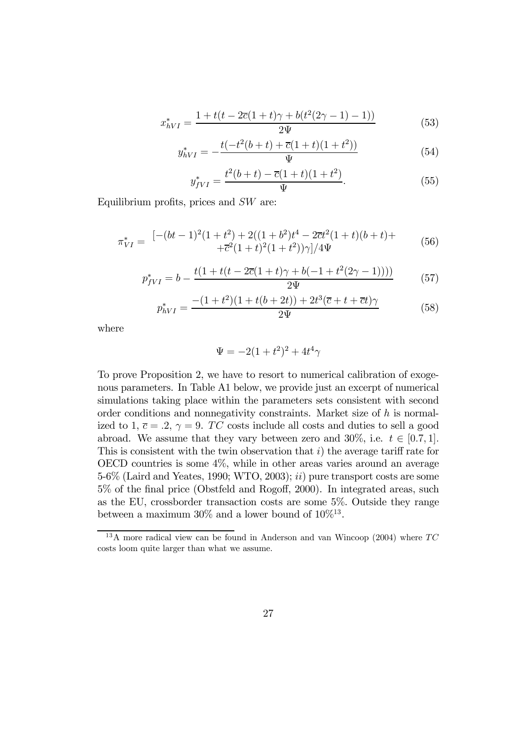$$
x_{hVI}^* = \frac{1 + t(t - 2\overline{c}(1+t)\gamma + b(t^2(2\gamma - 1) - 1))}{2\Psi} \tag{53}
$$

$$
y_{hVI}^* = -\frac{t(-t^2(b+t) + \overline{c}(1+t)(1+t^2))}{\Psi} \tag{54}
$$

$$
y_{fVI}^* = \frac{t^2(b+t) - \overline{c}(1+t)(1+t^2)}{\Psi}.
$$
\n(55)

Equilibrium profits, prices and  $SW$  are:

$$
\pi_{VI}^* = \frac{\left[ -(bt - 1)^2 (1 + t^2) + 2((1 + b^2)t^4 - 2\overline{c}t^2(1 + t)(b + t) + \right.}{+ \overline{c}^2 (1 + t)^2 (1 + t^2))\gamma \right]/4\Psi} \tag{56}
$$

$$
p_{fVI}^* = b - \frac{t(1 + t(t - 2\overline{c}(1+t)\gamma + b(-1 + t^2(2\gamma - 1))))}{2\Psi} \tag{57}
$$

$$
p_{hVI}^* = \frac{-(1+t^2)(1+t(b+2t)) + 2t^3(\overline{c} + t + \overline{c}t)\gamma}{2\Psi}
$$
(58)

where

$$
\Psi = -2(1+t^2)^2 + 4t^4\gamma
$$

To prove Proposition 2, we have to resort to numerical calibration of exogenous parameters. In Table A1 below, we provide just an excerpt of numerical simulations taking place within the parameters sets consistent with second order conditions and nonnegativity constraints. Market size of  $h$  is normalized to 1,  $\overline{c} = .2$ ,  $\gamma = 9$ . TC costs include all costs and duties to sell a good abroad. We assume that they vary between zero and 30%, i.e.  $t \in [0.7, 1]$ . This is consistent with the twin observation that  $i$ ) the average tariff rate for OECD countries is some 4%, while in other areas varies around an average 5-6% (Laird and Yeates, 1990; WTO, 2003); ii) pure transport costs are some  $5\%$  of the final price (Obstfeld and Rogoff, 2000). In integrated areas, such as the EU, crossborder transaction costs are some 5%. Outside they range between a maximum  $30\%$  and a lower bound of  $10\%^{13}$ .

<sup>&</sup>lt;sup>13</sup>A more radical view can be found in Anderson and van Wincoop (2004) where  $TC$ costs loom quite larger than what we assume.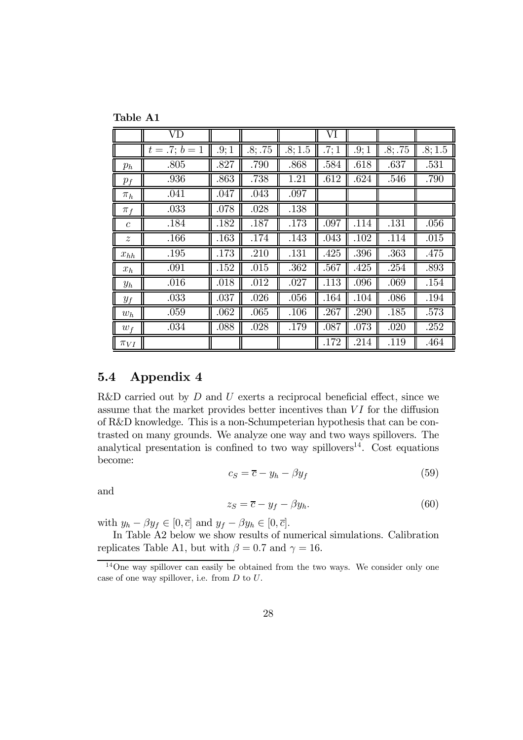Table A1

|                  | VD          |      |         |         | VI   |      |         |         |
|------------------|-------------|------|---------|---------|------|------|---------|---------|
|                  | $t=.7; b=1$ | .9:1 | .8; .75 | .8; 1.5 | .7;1 | .9;1 | .8; .75 | .8; 1.5 |
| $p_h$            | .805        | .827 | .790    | .868    | .584 | .618 | .637    | .531    |
| $p_f$            | .936        | .863 | .738    | 1.21    | .612 | .624 | .546    | .790    |
| $\pi_h$          | .041        | .047 | .043    | .097    |      |      |         |         |
| $\pi_f$          | .033        | .078 | .028    | .138    |      |      |         |         |
| $\mathcal{C}$    | .184        | .182 | .187    | .173    | .097 | .114 | .131    | .056    |
| $\boldsymbol{z}$ | .166        | .163 | .174    | .143    | .043 | .102 | .114    | .015    |
| $x_{hh}$         | .195        | .173 | .210    | .131    | .425 | .396 | .363    | .475    |
| $x_h$            | .091        | .152 | .015    | .362    | .567 | .425 | .254    | .893    |
| $y_h$            | .016        | .018 | .012    | .027    | .113 | .096 | .069    | .154    |
| $y_f$            | .033        | .037 | .026    | .056    | .164 | .104 | .086    | .194    |
| $w_h$            | .059        | .062 | .065    | .106    | .267 | .290 | .185    | .573    |
| $w_f$            | .034        | .088 | .028    | .179    | .087 | .073 | .020    | .252    |
| $\pi_{VI}$       |             |      |         |         | .172 | .214 | .119    | .464    |

### 5.4 Appendix 4

R&D carried out by  $D$  and  $U$  exerts a reciprocal beneficial effect, since we assume that the market provides better incentives than  $VI$  for the diffusion of R&D knowledge. This is a non-Schumpeterian hypothesis that can be contrasted on many grounds. We analyze one way and two ways spillovers. The analytical presentation is confined to two way spillovers<sup>14</sup>. Cost equations become:

$$
c_S = \overline{c} - y_h - \beta y_f \tag{59}
$$

and

$$
z_S = \overline{c} - y_f - \beta y_h. \tag{60}
$$

with  $y_h - \beta y_f \in [0, \overline{c}]$  and  $y_f - \beta y_h \in [0, \overline{c}].$ 

In Table A2 below we show results of numerical simulations. Calibration replicates Table A1, but with  $\beta = 0.7$  and  $\gamma = 16$ .

<sup>14</sup>One way spillover can easily be obtained from the two ways. We consider only one case of one way spillover, i.e. from D to U.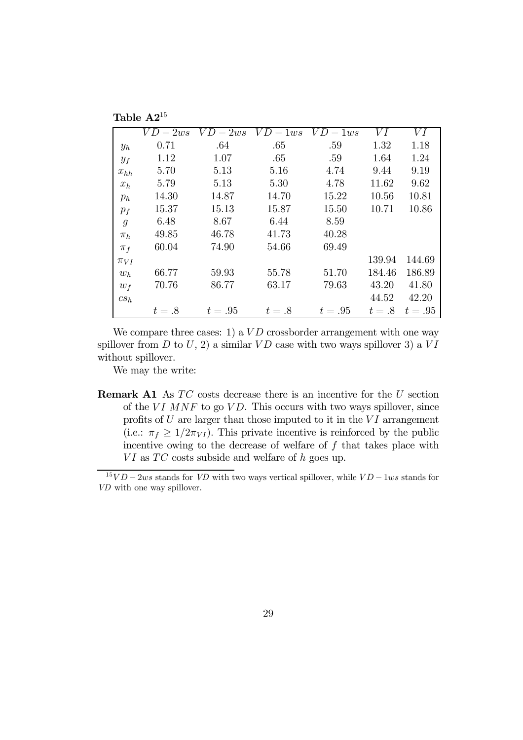|                | Table $A2^{15}$ |          |            |          |        |         |
|----------------|-----------------|----------|------------|----------|--------|---------|
|                | $VD-2ws$        | $VD-2ws$ | $VD - 1ws$ | $VD-1ws$ | VI     | VI      |
| $y_h$          | 0.71            | .64      | .65        | .59      | 1.32   | 1.18    |
| $y_f$          | 1.12            | 1.07     | .65        | .59      | 1.64   | 1.24    |
| $x_{hh}$       | 5.70            | 5.13     | 5.16       | 4.74     | 9.44   | 9.19    |
| $x_h$          | 5.79            | 5.13     | 5.30       | 4.78     | 11.62  | 9.62    |
| $p_h$          | 14.30           | 14.87    | 14.70      | 15.22    | 10.56  | 10.81   |
| $p_f$          | 15.37           | 15.13    | 15.87      | 15.50    | 10.71  | 10.86   |
| $\mathfrak{g}$ | 6.48            | 8.67     | 6.44       | 8.59     |        |         |
| $\pi_h$        | 49.85           | 46.78    | 41.73      | 40.28    |        |         |
| $\pi_f$        | 60.04           | 74.90    | 54.66      | 69.49    |        |         |
| $\pi_{VI}$     |                 |          |            |          | 139.94 | 144.69  |
| $w_h$          | 66.77           | 59.93    | 55.78      | 51.70    | 184.46 | 186.89  |
| $w_f$          | 70.76           | 86.77    | 63.17      | 79.63    | 43.20  | 41.80   |
| $cs_h$         |                 |          |            |          | 44.52  | 42.20   |
|                | $t=.8$          | $t=.95$  | $t=.8$     | $t=.95$  | $t=.8$ | $t=.95$ |

We compare three cases: 1) a  $VD$  crossborder arrangement with one way spillover from  $D$  to  $U$ , 2) a similar  $VD$  case with two ways spillover 3) a  $VI$ without spillover.

We may the write:

**Remark A1** As  $TC$  costs decrease there is an incentive for the  $U$  section of the VI MNF to go VD. This occurs with two ways spillover, since profits of  $U$  are larger than those imputed to it in the  $VI$  arrangement (i.e.:  $\pi_f \geq 1/2\pi_{VI}$ ). This private incentive is reinforced by the public incentive owing to the decrease of welfare of  $f$  that takes place with  $VI$  as  $TC$  costs subside and welfare of h goes up.

 $15VD - 2ws$  stands for *VD* with two ways vertical spillover, while  $VD - 1ws$  stands for VD with one way spillover.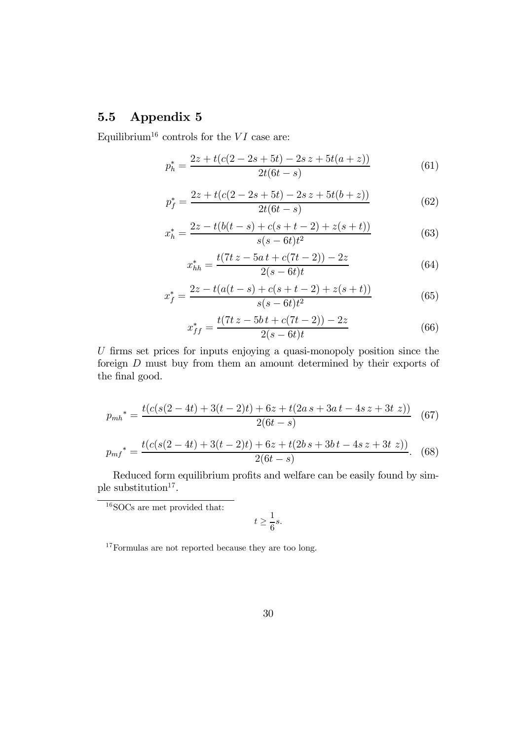### 5.5 Appendix 5

Equilibrium<sup>16</sup> controls for the  $VI$  case are:

$$
p_h^* = \frac{2z + t(c(2 - 2s + 5t) - 2s z + 5t(a + z))}{2t(6t - s)}
$$
(61)

$$
p_f^* = \frac{2z + t(c(2 - 2s + 5t) - 2s z + 5t(b + z))}{2t(6t - s)}
$$
(62)

$$
x_h^* = \frac{2z - t(b(t - s) + c(s + t - 2) + z(s + t))}{s(s - 6t)t^2}
$$
(63)

$$
x_{hh}^* = \frac{t(7t\,z - 5a\,t + c(7t - 2)) - 2z}{2(s - 6t)t}
$$
\n(64)

$$
x_f^* = \frac{2z - t(a(t - s) + c(s + t - 2) + z(s + t))}{s(s - 6t)t^2}
$$
(65)

$$
x_{ff}^* = \frac{t(7t\,z - 5b\,t + c(7t - 2)) - 2z}{2(s - 6t)t}
$$
\n(66)

 $U$  firms set prices for inputs enjoying a quasi-monopoly position since the foreign D must buy from them an amount determined by their exports of the final good.

$$
p_{mh}^* = \frac{t(c(s(2-4t) + 3(t-2)t) + 6z + t(2as + 3at - 4sz + 3t z))}{2(6t - s)}
$$
(67)

$$
p_{mf}^* = \frac{t(c(s(2-4t) + 3(t-2)t) + 6z + t(2b s + 3b t - 4s z + 3t z))}{2(6t - s)}.
$$
 (68)

Reduced form equilibrium profits and welfare can be easily found by simple substitution<sup>17</sup>.

 $^{16}\rm{SOCs}$  are met provided that:

$$
t\geq \frac{1}{6}s.
$$

 $^{17}\mathrm{Formulas}$  are not reported because they are too long.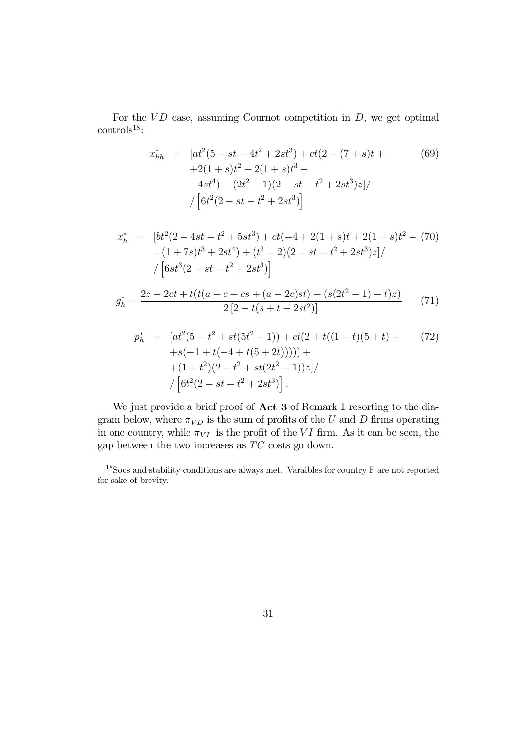For the  $VD$  case, assuming Cournot competition in  $D$ , we get optimal  $controls<sup>18</sup>$ :

$$
x_{hh}^{*} = [at^{2}(5 - st - 4t^{2} + 2st^{3}) + ct(2 - (7 + s)t + (69)
$$
  
+2(1 + s)t<sup>2</sup> + 2(1 + s)t<sup>3</sup> -  
-4st<sup>4</sup>) - (2t<sup>2</sup> - 1)(2 - st - t<sup>2</sup> + 2st<sup>3</sup>)z]/  
/ [6t<sup>2</sup>(2 - st - t<sup>2</sup> + 2st<sup>3</sup>)]

$$
x_h^* = [bt^2(2 - 4st - t^2 + 5st^3) + ct(-4 + 2(1 + s)t + 2(1 + s)t^2 - (70)- (1 + 7s)t^3 + 2st^4) + (t^2 - 2)(2 - st - t^2 + 2st^3)z]// [6st^3(2 - st - t^2 + 2st^3)]
$$
g_h^* = \frac{2z - 2ct + t(t(a + c + cs + (a - 2c)st) + (s(2t^2 - 1) - t)z)}{2[2 - t(s + t - 2st^2)]}
$$
(71)
$$

$$
p_h^* = [at^2(5 - t^2 + st(5t^2 - 1)) + ct(2 + t((1 - t)(5 + t) + 7t^2) + s(-1 + t(-4 + t(5 + 2t)))) +
$$
  
+ (1 + t<sup>2</sup>)(2 - t<sup>2</sup> + st(2t<sup>2</sup> - 1))z]/  
/ [6t<sup>2</sup>(2 - st - t<sup>2</sup> + 2st<sup>3</sup>)].

We just provide a brief proof of **Act 3** of Remark 1 resorting to the diagram below, where  $\pi_{VD}$  is the sum of profits of the U and D firms operating in one country, while  $\pi_{VI}$  is the profit of the VI firm. As it can be seen, the gap between the two increases as  $TC$  costs go down.

<sup>18</sup>Socs and stability conditions are always met. Varaibles for country F are not reported for sake of brevity.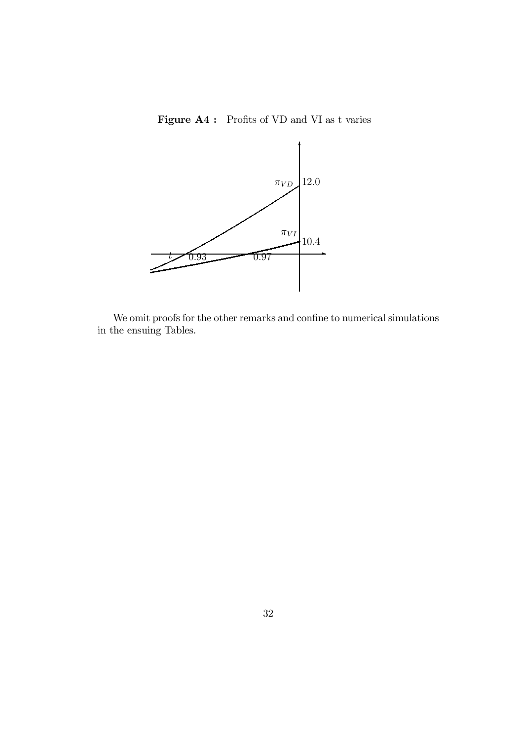Figure A4 : Profits of VD and VI as t varies



We omit proofs for the other remarks and confine to numerical simulations in the ensuing Tables.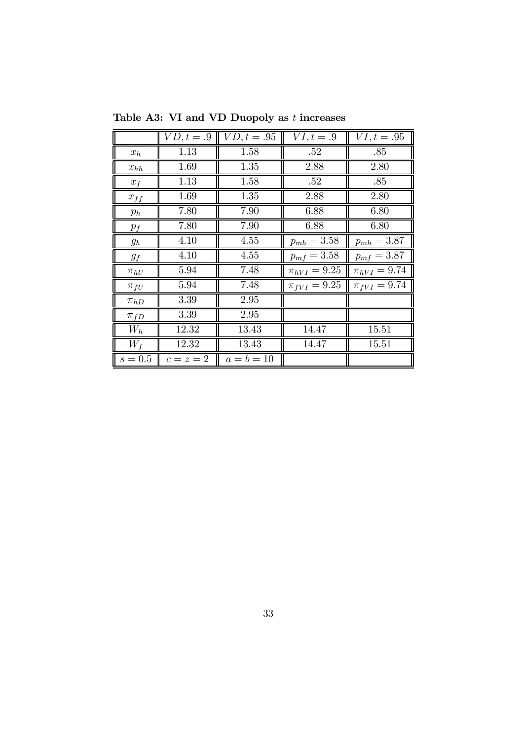|                      | $VD, t = .9$ | $VD, t = .95$ | $VI, t = .9$       | $VI, t = .95$      |
|----------------------|--------------|---------------|--------------------|--------------------|
| $x_h$                | 1.13         | 1.58          | .52                | .85                |
| $x_{hh}$             | 1.69         | 1.35          | 2.88               | 2.80               |
| $x_f$                | 1.13         | 1.58          | .52                | .85                |
| $x_{f\underline{f}}$ | 1.69         | 1.35          | 2.88               | 2.80               |
| $p_h$                | 7.80         | 7.90          | 6.88               | 6.80               |
| $p_f$                | 7.80         | 7.90          | 6.88               | 6.80               |
| $g_h$                | 4.10         | 4.55          | $p_{mh} = 3.58$    | $p_{mh} = 3.87$    |
| $g_f$                | 4.10         | 4.55          | $p_{mf} = 3.58$    | $p_{mf} = 3.87$    |
| $\pi_{hU}$           | 5.94         | 7.48          | $\pi_{hVI} = 9.25$ | $\pi_{hVI} = 9.74$ |
| $\pi_{fU}$           | 5.94         | 7.48          | $\pi_{fVI} = 9.25$ | $\pi_{fVI} = 9.74$ |
| $\pi_{hD}$           | 3.39         | 2.95          |                    |                    |
| $\pi_{fD}$           | 3.39         | 2.95          |                    |                    |
| $W_h$                | 12.32        | 13.43         | 14.47              | 15.51              |
| $W_f$                | 12.32        | 13.43         | 14.47              | 15.51              |
| $\parallel s = 0.5$  | $c=z=2$      | $a = b = 10$  |                    |                    |

Table A3: VI and VD Duopoly as  $t$  increases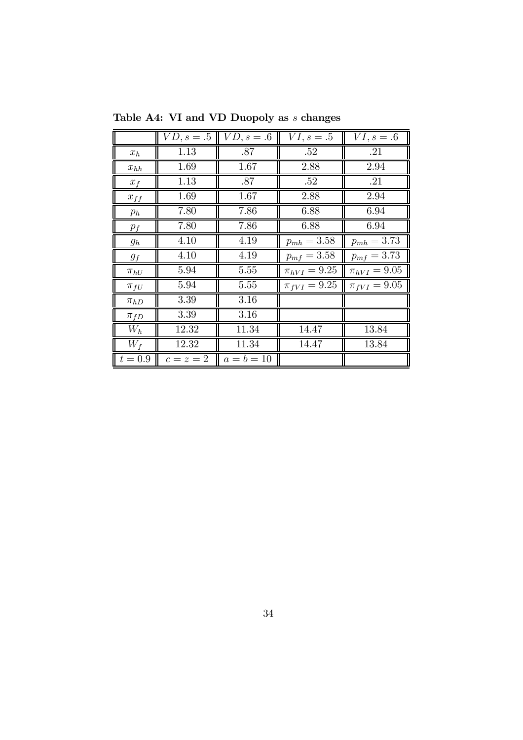|                       | $VD, s = .5$       | $VD, s = .6$ | $VI, s = .5$       | $VI, s = .6$       |
|-----------------------|--------------------|--------------|--------------------|--------------------|
| $x_h$                 | 1.13               | .87          | .52                | $\overline{.21}$   |
| $\boldsymbol{x}_{hh}$ | 1.69               | 1.67         | 2.88               | 2.94               |
| $x_f$                 | 1.13               | .87          | .52                | $\overline{.21}$   |
| $x_{f\underline{f}}$  | 1.69               | 1.67         | 2.88               | 2.94               |
| $p_h$                 | 7.80               | 7.86         | 6.88               | 6.94               |
| $p_f$                 | 7.80               | 7.86         | 6.88               | 6.94               |
| $g_h$                 | 4.10               | 4.19         | $p_{mh} = 3.58$    | $p_{mh} = 3.73$    |
| $g_f$                 | 4.10               | 4.19         | $p_{mf} = 3.58$    | $p_{mf} = 3.73$    |
| $\pi_{hU}$            | 5.94               | 5.55         | $\pi_{hVI} = 9.25$ | $\pi_{hVI} = 9.05$ |
| $\pi_{fU}$            | 5.94               | 5.55         | $\pi_{fVI} = 9.25$ | $\pi_{fVI} = 9.05$ |
| $\pi_{hD}$            | 3.39               | 3.16         |                    |                    |
| $\pi_{fD}$            | 3.39               | 3.16         |                    |                    |
| $W_h$                 | <b>12.32</b>       | 11.34        | 14.47              | 13.84              |
| $W_f$                 | $\overline{1}2.32$ | 11.34        | 14.47              | 13.84              |
| $ t=0.9 $             | $c=z=2$            | $a = b = 10$ |                    |                    |

Table A4: VI and VD Duopoly as  $\boldsymbol{s}$  changes